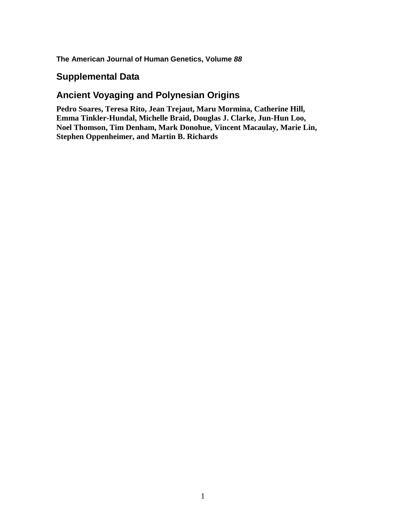**The American Journal of Human Genetics, Volume** *88*

## **Supplemental Data**

# **Ancient Voyaging and Polynesian Origins**

**Pedro Soares, Teresa Rito, Jean Trejaut, Maru Mormina, Catherine Hill, Emma Tinkler-Hundal, Michelle Braid, Douglas J. Clarke, Jun-Hun Loo, Noel Thomson, Tim Denham, Mark Donohue, Vincent Macaulay, Marie Lin, Stephen Oppenheimer, and Martin B. Richards**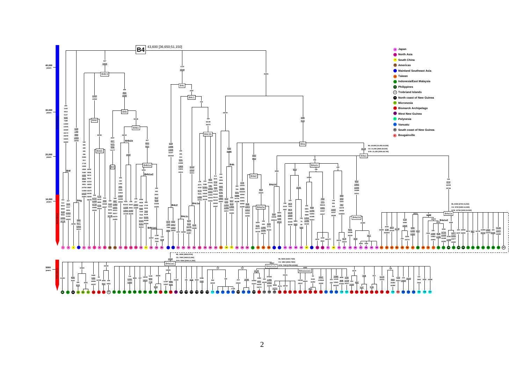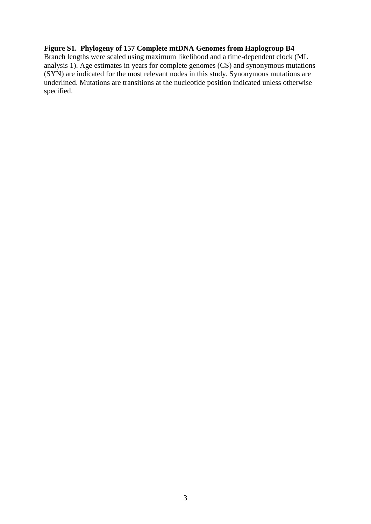### **Figure S1. Phylogeny of 157 Complete mtDNA Genomes from Haplogroup B4**

Branch lengths were scaled using maximum likelihood and a time-dependent clock (ML analysis 1). Age estimates in years for complete genomes (CS) and synonymous mutations (SYN) are indicated for the most relevant nodes in this study. Synonymous mutations are underlined. Mutations are transitions at the nucleotide position indicated unless otherwise specified.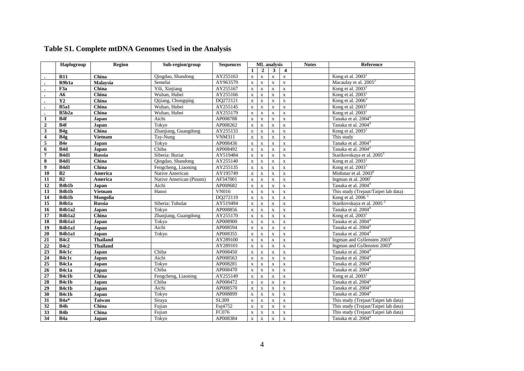|                  | Haplogroup                      | Region          | Sub-region/group        | <b>Sequences</b>           |              | <b>ML</b> analysis |                    | <b>Notes</b>            | Reference |                                         |
|------------------|---------------------------------|-----------------|-------------------------|----------------------------|--------------|--------------------|--------------------|-------------------------|-----------|-----------------------------------------|
|                  |                                 |                 |                         |                            | $\mathbf{1}$ | $\overline{2}$     | $\mathbf{3}$       | $\overline{\mathbf{4}}$ |           |                                         |
|                  | R11                             | China           | Qingdao, Shandong       | AY255163                   | $\mathbf X$  | $\mathbf x$        | $\mathbf x$        | $\mathbf X$             |           | Kong et al. $20031$                     |
|                  | R9b1a                           | <b>Malaysia</b> | Semelai                 | AY963579                   | $\mathbf x$  | $\mathbf X$        | $\mathbf X$        | $\mathbf X$             |           | Macaulay et al. $2005^2$                |
|                  | F3a                             | China           | Yili, Xinjiang          | AY255167                   | $\mathbf X$  | $\mathbf X$        | $\mathbf x$        | $\mathbf x$             |           | Kong et al. $2003$ <sup>1</sup>         |
|                  | A6                              | China           | Wuhan, Hubei            | AY255166                   | $\mathbf X$  | $\mathbf X$        | $\mathbf x$        | $\mathbf X$             |           | Kong et al. $20031$                     |
|                  | $\overline{Y2}$                 | China           | Qijiang, Chongqing      | DQ272121                   | $\mathbf X$  | $\mathbf X$        | $\mathbf X$        | $\mathbf X$             |           | Kong et al. $20063$                     |
|                  | <b>B5a1</b>                     | China           | Wuhan, Hubei            | AY255145                   | $\mathbf X$  | $\mathbf x$        | $\mathbf x$        | $\mathbf x$             |           | Kong et al. 2003 <sup>1</sup>           |
|                  | B5b2a                           | China           | Wuhan, Hubei            | AY255179                   | $\mathbf X$  | $\mathbf X$        | $\mathbf{x}$       | $\mathbf x$             |           | Kong et al. $20031$                     |
| 1                | B <sub>4f</sub>                 | Japan           | Aichi                   | AP008788                   | $\mathbf X$  | $\mathbf X$        | $\bar{\mathbf{X}}$ | $\bar{\mathbf{X}}$      |           | Tanaka et al. 2004 <sup>4</sup>         |
| $\mathbf{2}$     | B <sub>4f</sub>                 | Japan           | Tokyo                   | AP008262                   | $\mathbf x$  | $\mathbf x$        | $\mathbf x$        | $\mathbf x$             |           | Tanaka et al. 2004 <sup>4</sup>         |
| 3                | B <sub>4g</sub>                 | China           | Zhanjiang, Guangdong    | AY255133                   | $\mathbf X$  | $\mathbf X$        | $\mathbf X$        | $\mathbf X$             |           | Kong et al. 2003 <sup>1</sup>           |
| 4                | B <sub>4g</sub>                 | <b>Vietnam</b>  | Tay-Nung                | <b>VNM311</b>              | $\mathbf X$  | $\mathbf X$        | $\mathbf x$        | $\mathbf x$             |           | This study                              |
| 5                | B <sub>4e</sub>                 | Japan           | Tokyo                   | AP008436                   | $\mathbf X$  | $\mathbf x$        | $\mathbf x$        | $\mathbf x$             |           | Tanaka et al. 2004 <sup>4</sup>         |
| 6                | B <sub>4</sub> d                | Japan           | Chiba                   | AP008492                   | $\mathbf x$  | $\mathbf X$        | $\mathbf x$        | $\mathbf X$             |           | Tanaka et al. 2004 <sup>4</sup>         |
| $\overline{7}$   | <b>B4d1</b>                     | <b>Russia</b>   | Siberia: Buriat         | AY519484                   | $\mathbf X$  | $\mathbf x$        | $\mathbf x$        | $\mathbf x$             |           | Starikovskaya et al. 2005 <sup>5</sup>  |
| 8                | <b>B4d1</b>                     | China           | Oingdao, Shandong       | AY255140                   | $\mathbf X$  | $\mathbf X$        | $\mathbf x$        | $\mathbf x$             |           | Kong et al. $20031$                     |
| $\boldsymbol{9}$ | <b>B4d1</b>                     | China           | Fengcheng, Liaoning     | AY255135                   | $\mathbf X$  | $\mathbf X$        | $\mathbf X$        | $\mathbf X$             |           | Kong et al. $20031$                     |
| 10               | B2                              | <b>America</b>  | Native American         | AY195749                   | $\mathbf X$  | $\mathbf X$        | $\mathbf X$        | $\mathbf X$             |           | Mishmar et al. 2003 <sup>6</sup>        |
| 11               | $\overline{B2}$                 | <b>America</b>  | Native American (Pinam) | AF347001                   | $\mathbf X$  | $\mathbf x$        | $\mathbf x$        | $\mathbf x$             |           | Ingman et al. $2000^7$                  |
| 12               | B <sub>4</sub> b <sub>1</sub> b | Japan           | Aichi                   | AP008682                   | $\mathbf X$  | $\mathbf X$        | $\mathbf x$        | $\mathbf x$             |           | Tanaka et al. 2004 <sup>4</sup>         |
| 13               | B <sub>4</sub> b <sub>1</sub> b | <b>Vietnam</b>  | Hanoi                   | $\overline{\text{VN01}}$ 6 | $\mathbf X$  | $\mathbf x$        | $\bar{\mathbf{X}}$ | $\mathbf x$             |           | This study (Trejaut/Taipei lab data)    |
| 14               | B <sub>4</sub> b <sub>1</sub> b | Mongolia        |                         | DO272119                   | $\mathbf X$  | $\mathbf X$        | $\mathbf x$        | $\mathbf x$             |           | Kong et al. $20063$                     |
| 15               | B <sub>4</sub> b <sub>1a</sub>  | <b>Russia</b>   | Siberia: Tubular        | AY519494                   | $\mathbf X$  | $\mathbf X$        | $\mathbf x$        | $\mathbf x$             |           | Starikovskaya et al. 2005 <sup>5</sup>  |
| 16               | <b>B4b1a2</b>                   | Japan           | Tokvo                   | AP008856                   | $\mathbf X$  | $\mathbf X$        | $\mathbf x$        | $\mathbf X$             |           | Tanaka et al. 2004 <sup>4</sup>         |
| 17               | <b>B4b1a2</b>                   | China           | Zhanjiang, Guangdong    | AY255170                   | $\mathbf x$  | $\mathbf X$        | $\mathbf x$        | $\mathbf X$             |           | Kong et al. $20031$                     |
| 18               | B4b1a1                          | Japan           | Tokyo                   | AP008900                   | $\mathbf X$  | $\mathbf X$        | $\mathbf x$        | $\mathbf X$             |           | Tanaka et al. 2004 <sup>4</sup>         |
| 19               | B4b1a1                          | Japan           | Aichi                   | AP008594                   | $\mathbf X$  | $\mathbf x$        | $\bar{\mathbf{X}}$ | $\mathbf X$             |           | Tanaka et al. 2004 <sup>4</sup>         |
| 20               | B4b1a1                          | Japan           | Tokyo                   | AP008355                   | $\mathbf X$  | $\mathbf x$        | $\mathbf X$        | $\mathbf X$             |           | Tanaka et al. 2004 <sup>4</sup>         |
| 21               | <b>B4c2</b>                     | <b>Thailand</b> |                         | AY289100                   | $\mathbf x$  | $\mathbf X$        | $\mathbf x$        | $\mathbf X$             |           | Ingman and Gyllensten 2003 <sup>8</sup> |
| 22               | B4c2                            | <b>Thailand</b> |                         | AY289101                   | $\mathbf X$  | $\mathbf X$        | $\mathbf x$        | $\mathbf x$             |           | Ingman and Gyllensten 2003 <sup>8</sup> |
| 23               | B4c1c                           | Japan           | Chiba                   | AP008450                   | $\mathbf X$  | $\mathbf x$        | $\mathbf x$        | $\mathbf X$             |           | Tanaka et al. 2004 <sup>4</sup>         |
| 24               | B4c1c                           | Japan           | Aichi                   | AP008563                   | $\mathbf X$  | $\mathbf x$        | $\bar{\mathbf{X}}$ | $\mathbf x$             |           | Tanaka et al. 2004 <sup>4</sup>         |
| 25               | B4c1a                           | Japan           | Tokyo                   | AP008281                   | $\mathbf X$  | $\mathbf X$        | $\mathbf x$        | $\mathbf x$             |           | Tanaka et al. 2004 <sup>4</sup>         |
| 26               | B4c1a                           | Japan           | Chiba                   | AP008470                   | $\mathbf X$  | $\mathbf X$        | $\mathbf x$        | $\mathbf x$             |           | Tanaka et al. 2004 <sup>4</sup>         |
| 27               | B4c1b                           | China           | Fengcheng, Liaoning     | AY255149                   | $\mathbf X$  | $\mathbf X$        | $\mathbf X$        | $\mathbf x$             |           | Kong et al. $20031$                     |
| 28               | B4c1b                           | <b>Japan</b>    | Chiba                   | AP008472                   | $\mathbf x$  | $\mathbf x$        | $\mathbf x$        | $\mathbf x$             |           | Tanaka et al. 2004 <sup>4</sup>         |
| 29               | B4c1b                           | Japan           | Aichi                   | AP008570                   | $\mathbf X$  | $\mathbf x$        | $\mathbf x$        | $\mathbf x$             |           | Tanaka et al. 2004 <sup>4</sup>         |
| 30               | B4c1b                           | <b>Japan</b>    | Tokyo                   | AP008899                   | $\mathbf X$  | $\mathbf X$        | $\bar{\mathbf{X}}$ | $\mathbf x$             |           | Tanaka et al. 2004 <sup>4</sup>         |
| 31               | $B4a*$                          | <b>Taiwan</b>   | Siraya                  | SL309                      | $\mathbf X$  | $\mathbf X$        | $\mathbf x$        | $\mathbf x$             |           | This study (Trejaut/Taipei lab data)    |
| 32               | B4h                             | China           | Fujian                  | Fuj4752                    | $\mathbf x$  | $\mathbf X$        | $\mathbf X$        | $\mathbf X$             |           | This study (Trejaut/Taipei lab data)    |
| 33               | B4h                             | China           | Fujian                  | FC076                      | $\mathbf X$  | $\mathbf X$        | $\mathbf X$        | $\mathbf X$             |           | This study (Trejaut/Taipei lab data)    |
| 34               | B <sub>4</sub> a                | Japan           | Tokyo                   | AP008384                   | $\mathbf x$  | $\mathbf X$        | $\bar{\mathbf{X}}$ | $\mathbf X$             |           | Tanaka et al. 2004 <sup>4</sup>         |

# **Table S1. Complete mtDNA Genomes Used in the Analysis**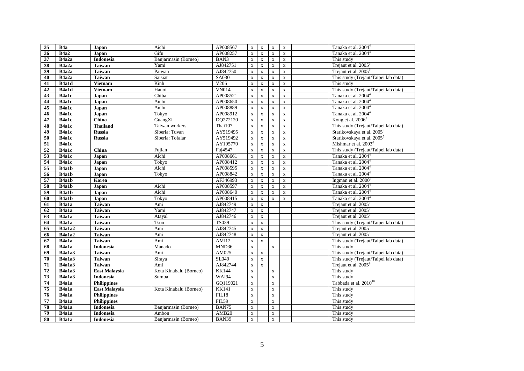| 35              | B4a           | Japan                | Aichi                  | AP008567          | $\mathbf X$ | $\mathbf X$        | $\bar{\mathbf{X}}$ | $\mathbf{x}$       | Tanaka et al. 2004 <sup>4</sup>        |
|-----------------|---------------|----------------------|------------------------|-------------------|-------------|--------------------|--------------------|--------------------|----------------------------------------|
| $\overline{36}$ | <b>B4a2</b>   | Japan                | Gifu                   | AP008257          | $\mathbf X$ | $\mathbf X$        | $\bar{\mathbf{X}}$ | $\mathbf{x}$       | Tanaka et al. 2004 <sup>4</sup>        |
| 37              | B4a2a         | <b>Indonesia</b>     | Banjarmasin (Borneo)   | BAN3              | $\mathbf x$ | $\mathbf X$        | $\bar{\mathbf{X}}$ | $\bar{\mathbf{X}}$ | This study                             |
| 38              | B4a2a         | <b>Taiwan</b>        | Yami                   | AJ842751          | $\mathbf X$ | $\mathbf X$        | $\bar{\mathbf{X}}$ | $\bar{\mathbf{X}}$ | Trejaut et al. 2005 <sup>9</sup>       |
| 39              | B4a2a         | <b>Taiwan</b>        | Paiwan                 | AJ842750          | $\mathbf x$ | $\mathbf X$        | $\bar{\mathbf{X}}$ | $\bar{\mathbf{X}}$ | Trejaut et al. 2005 <sup>9</sup>       |
| 40              | B4a2a         | <b>Taiwan</b>        | Saisiat                | SA030             | $\mathbf x$ | $\mathbf X$        | $\bar{\mathbf{X}}$ | $\bar{\mathbf{X}}$ | This study (Trejaut/Taipei lab data)   |
| 41              | B4a1d         | <b>Vietnam</b>       | Kinh                   | V206              | $\mathbf X$ | $\mathbf X$        | $\bar{\mathbf{X}}$ | $\bar{\mathbf{X}}$ | This study                             |
| 42              | B4a1d         | <b>Vietnam</b>       | Hanoi                  | V <sub>N014</sub> | $\mathbf X$ | $\mathbf X$        | $\bar{\mathbf{X}}$ | $\bar{\mathbf{X}}$ | This study (Trejaut/Taipei lab data)   |
| 43              | B4a1c         | Japan                | Chiba                  | AP008521          | $\mathbf X$ | $\mathbf X$        | $\mathbf X$        | $\bar{\mathbf{X}}$ | Tanaka et al. 2004 <sup>4</sup>        |
| 44              | B4a1c         | Japan                | Aichi                  | AP008650          | $\mathbf x$ | $\mathbf X$        | $\bar{\mathbf{X}}$ | $\mathbf X$        | Tanaka et al. 2004 <sup>4</sup>        |
| 45              | B4a1c         | Japan                | Aichi                  | AP008889          | $\mathbf X$ | $\mathbf X$        | $\bar{\mathbf{X}}$ | $\bar{\mathbf{X}}$ | Tanaka et al. 2004 <sup>4</sup>        |
| 46              | B4a1c         | Japan                | Tokyo                  | AP008912          | $\mathbf X$ | $\bar{\mathbf{X}}$ | $\bar{\mathbf{X}}$ | $\bar{\mathbf{X}}$ | Tanaka et al. 2004 <sup>4</sup>        |
| 47              | B4a1c         | China                | GuangXi                | DO272120          | $\mathbf X$ | $\mathbf X$        | $\bar{\mathbf{X}}$ | $\mathbf X$        | Kong et al. $2006^3$                   |
| 48              | B4a1c         | <b>Thailand</b>      | Taiwan workers         | Thai107           | $\mathbf X$ | $\mathbf X$        | $\bar{X}$          | $\bar{\mathbf{X}}$ | This study (Trejaut/Taipei lab data)   |
| 49              | B4a1c         | <b>Russia</b>        | Siberia: Tuvan         | AY519495          | $\mathbf X$ | $\mathbf X$        | $\mathbf X$        | $\bar{\mathbf{X}}$ | Starikovskaya et al. 2005 <sup>5</sup> |
| 50              | B4a1c         | <b>Russia</b>        | Siberia: Tofalar       | AY519492          | $\mathbf X$ | $\mathbf X$        | $\bar{\mathbf{x}}$ | $\bar{\mathbf{X}}$ | Starikovskaya et al. 2005 <sup>5</sup> |
| 51              | B4a1c         |                      |                        | AY195770          | $\mathbf X$ | $\mathbf X$        | $\mathbf X$        | $\mathbf X$        | Mishmar et al. $2003^6$                |
| 52              | B4a1c         | China                | Fujian                 | Fuj4547           | $\mathbf X$ | $\mathbf X$        | $\bar{\mathbf{X}}$ | $\mathbf x$        | This study (Trejaut/Taipei lab data)   |
| 53              | B4a1c         | Japan                | Aichi                  | AP008661          | $\mathbf X$ | $\mathbf X$        | $\mathbf X$        | $\bar{\mathbf{X}}$ | Tanaka et al. 2004 <sup>4</sup>        |
| 54              | B4a1c         | Japan                | Tokyo                  | AP008412          | $\mathbf X$ | $\mathbf X$        | $\bar{\mathbf{X}}$ | $\bar{\mathbf{X}}$ | Tanaka et al. 2004 <sup>4</sup>        |
| 55              | B4a1b         | Japan                | Aichi                  | AP008595          | $\mathbf X$ | $\mathbf X$        | $\mathbf X$        | $\mathbf X$        | Tanaka et al. 2004 <sup>4</sup>        |
| 56              | B4a1b         | Japan                | Tokyo                  | AP008842          | $\mathbf X$ | $\mathbf X$        | $\mathbf X$        | $\bar{\mathbf{X}}$ | Tanaka et al. 2004 <sup>4</sup>        |
| 57              | B4a1b         | Korea                |                        | AF346993          | $\mathbf X$ | $\mathbf X$        | $\bar{\mathbf{X}}$ | $\mathbf X$        | Ingman et al. $2000^7$                 |
| 58              | B4a1b         | Japan                | Aichi                  | AP008597          | $\mathbf x$ | $\mathbf x$        | $\bar{x}$          | $\bar{x}$          | Tanaka et al. 2004 <sup>4</sup>        |
| 59              | B4a1b         | Japan                | Aichi                  | AP008640          | $\mathbf X$ | $\mathbf X$        | $\bar{\mathbf{X}}$ | $\bar{\mathbf{X}}$ | Tanaka et al. 2004 <sup>4</sup>        |
| 60              | B4a1b         | Japan                | Tokyo                  | AP008415          | $\mathbf X$ | $\mathbf{x}$       | $\bar{\mathbf{x}}$ | $\bar{\mathbf{x}}$ | Tanaka et al. 2004 <sup>4</sup>        |
| 61              | B4a1a         | <b>Taiwan</b>        | Ami                    | AJ842749          | $\mathbf X$ | $\mathbf X$        |                    |                    | Trejaut et al. 2005 <sup>9</sup>       |
| 62              | B4a1a         | <b>Taiwan</b>        | Yami                   | AJ842747          | $\mathbf X$ | $\mathbf X$        |                    |                    | Trejaut et al. 2005 <sup>9</sup>       |
| 63              | B4a1a         | <b>Taiwan</b>        | Atayal                 | AJ842746          | $\mathbf X$ | $\mathbf X$        |                    |                    | Trejaut et al. 2005 <sup>9</sup>       |
| 64              | B4a1a         | <b>Taiwan</b>        | Tsou                   | <b>TS039</b>      | $\mathbf X$ | $\mathbf X$        |                    |                    | This study (Trejaut/Taipei lab data)   |
| 65              | <b>B4a1a2</b> | <b>Taiwan</b>        | Ami                    | AJ842745          | $\mathbf x$ | $\mathbf X$        |                    |                    | Trejaut et al. 2005 <sup>9</sup>       |
| 66              | <b>B4a1a2</b> | <b>Taiwan</b>        | Ami                    | AJ842748          | $\mathbf X$ | $\mathbf X$        |                    |                    | Trejaut et al. 2005 <sup>9</sup>       |
| 67              | B4a1a         | <b>Taiwan</b>        | Ami                    | AMI12             | $\mathbf X$ | $\mathbf X$        |                    |                    | This study (Trejaut/Taipei lab data)   |
| 68              | B4a1a         | <b>Indonesia</b>     | Manado                 | MND36             | $\mathbf x$ |                    | $\mathbf X$        |                    | This study                             |
| 69              | <b>B4a1a3</b> | <b>Taiwan</b>        | Ami                    | AM025             | $\mathbf x$ | $\mathbf X$        |                    |                    | This study (Trejaut/Taipei lab data)   |
| 70              | <b>B4a1a3</b> | <b>Taiwan</b>        | Siraya                 | SL049             | $\mathbf X$ | $\mathbf X$        |                    |                    | This study (Trejaut/Taipei lab data)   |
| 71              | <b>B4a1a3</b> | <b>Taiwan</b>        | Ami                    | AJ842744          | $\mathbf X$ | $\bar{\mathbf{X}}$ |                    |                    | Trejaut et al. 2005 <sup>9</sup>       |
| 72              | B4a1a3        | <b>East Malaysia</b> | Kota Kinabalu (Borneo) | <b>KK144</b>      | $\mathbf X$ |                    | $\mathbf X$        |                    | This study                             |
| 73              | B4a1a3        | <b>Indonesia</b>     | Sumba                  | WAI94             | $\mathbf x$ |                    | $\bar{\mathbf{X}}$ |                    | This study                             |
| 74              | B4a1a         | <b>Philippines</b>   |                        | GQ119021          | $\mathbf X$ |                    | $\bar{\mathbf{X}}$ |                    | Tabbada et al. 2010 <sup>10</sup>      |
| 75              | B4a1a         | <b>East Malaysia</b> | Kota Kinabalu (Borneo) | <b>KK141</b>      | $\mathbf x$ |                    | $\bar{\mathbf{x}}$ |                    | This study                             |
| 76              | B4a1a         | <b>Philippines</b>   |                        | FIL18             | $\mathbf x$ |                    | $\mathbf X$        |                    | This study                             |
| 77              | B4a1a         | <b>Philippines</b>   |                        | FIL59             | $\mathbf X$ |                    | $\bar{\mathbf{X}}$ |                    | This study                             |
| 78              | B4a1a         | <b>Indonesia</b>     | Banjarmasin (Borneo)   | BAN75             | $\mathbf x$ |                    | $\bar{\mathbf{X}}$ |                    | This study                             |
| 79              | B4a1a         | Indonesia            | Ambon                  | AMB <sub>20</sub> | $\mathbf x$ |                    | $\bar{\mathbf{X}}$ |                    | This study                             |
| 80              | B4a1a         | Indonesia            | Banjarmasin (Borneo)   | BAN39             | $\mathbf x$ |                    | $\bar{\mathbf{X}}$ |                    | This study                             |
|                 |               |                      |                        |                   |             |                    |                    |                    |                                        |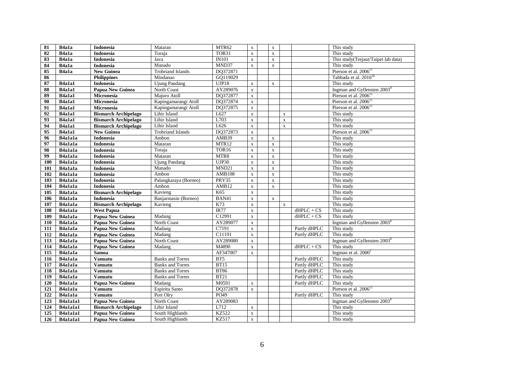| 81  | B4a1a         | Indonesia                   | Mataran                  | MTR62        | $\mathbf X$ | $\mathbf X$        |             |              | This study                              |
|-----|---------------|-----------------------------|--------------------------|--------------|-------------|--------------------|-------------|--------------|-----------------------------------------|
| 82  | B4a1a         | Indonesia                   | Toraja                   | TOR31        | $\mathbf X$ | $\bar{\mathbf{X}}$ |             |              | This study                              |
| 83  | B4a1a         | <b>Indonesia</b>            | Java                     | <b>IN101</b> | $\mathbf X$ | $\bf{X}$           |             |              | This study (Trejaut/Taipei lab data)    |
| 84  | B4a1a         | Indonesia                   | Manado                   | MND37        | $\mathbf x$ | $\mathbf x$        |             |              | This study                              |
| 85  | B4a1a         | <b>New Guinea</b>           | <b>Trobriand Islands</b> | DQ372871     |             |                    |             |              | Pierson et al. 2006 <sup>11</sup>       |
| 86  |               | <b>Philippines</b>          | Mindanao                 | GQ119029     |             |                    |             |              | Tabbada et al. 2010 <sup>10</sup>       |
| 87  | B4a1a1        | <b>Indonesia</b>            | <b>Ujung Pandang</b>     | UJP18        | $\mathbf X$ | $\bf{X}$           |             |              | This study                              |
| 88  | B4a1a1        | <b>Papua New Guinea</b>     | North Coast              | AY289076     | $\mathbf X$ |                    |             |              | Ingman and Gyllensten 2003 <sup>8</sup> |
| 89  | B4a1a1        | Micronesia                  | Majuro Atoll             | DQ372877     | $\mathbf X$ |                    |             |              | Pierson et al. 2006 <sup>11</sup>       |
| 90  | B4a1a1        | Micronesia                  | Kapingamarangi Atoll     | DO372874     | $\mathbf X$ |                    |             |              | Pierson et al. 2006 <sup>11</sup>       |
| 91  | B4a1a1        | Micronesia                  | Kapingamarangi Atoll     | DQ372875     | $\mathbf X$ |                    |             |              | Pierson et al. 2006 <sup>11</sup>       |
| 92  | B4a1a1        | <b>Bismarch Archipelago</b> | Lihir Island             | L627         | $\mathbf X$ |                    | $\mathbf X$ |              | This study                              |
| 93  | B4a1a1        | <b>Bismarch Archipelago</b> | Lihir Island             | L703         | $\mathbf X$ |                    | $\mathbf X$ |              | This study                              |
| 94  | <b>B4a1a1</b> | <b>Bismarch Archipelago</b> | Lihir Island             | L626         | $\mathbf X$ |                    | $\mathbf X$ |              | This study                              |
| 95  | B4a1a1        | <b>New Guinea</b>           | <b>Trobriand Islands</b> | DQ372873     | $\mathbf X$ |                    |             |              | Pierson et al. 2006 <sup>11</sup>       |
| 96  | B4a1a1a       | Indonesia                   | Ambon                    | AMB39        | $\mathbf X$ | $\mathbf X$        |             |              | This study                              |
| 97  | B4a1a1a       | Indonesia                   | Mataran                  | MTR12        | $\mathbf X$ | $\mathbf X$        |             |              | This study                              |
| 98  | B4a1a1a       | <b>Indonesia</b>            | Toraja                   | TOR16        | $\mathbf X$ | $\mathbf X$        |             |              | This study                              |
| 99  | B4a1a1a       | Indonesia                   | Mataran                  | MTR8         | $\mathbf X$ | X                  |             |              | This study                              |
| 100 | B4a1a1a       | Indonesia                   | <b>Ujung Pandang</b>     | <b>UJP30</b> | $\mathbf X$ | $\bar{\mathbf{x}}$ |             |              | This study                              |
| 101 | B4a1a1a       | Indonesia                   | Manado                   | MND21        | $\mathbf X$ | $\mathbf x$        |             |              | This study                              |
| 102 | B4a1a1a       | <b>Indonesia</b>            | Ambon                    | AMB108       | $\mathbf X$ | X                  |             |              | This study                              |
| 103 | B4a1a1a       | Indonesia                   | Palangkaraya (Borneo)    | PRY35        | $\mathbf X$ | $\mathbf x$        |             |              | This study                              |
| 104 | B4a1a1a       | Indonesia                   | Ambon                    | AMB12        | $\mathbf X$ | $\bf{X}$           |             |              | This study                              |
| 105 | B4a1a1a       | <b>Bismarch Archipelago</b> | Kavieng                  | K65          | $\mathbf X$ |                    |             |              | This study                              |
| 106 | B4a1a1a       | <b>Indonesia</b>            | Banjarmasin (Borneo)     | <b>BAN41</b> | $\mathbf X$ | $\mathbf X$        |             |              | This study                              |
| 107 | B4a1a1a       | <b>Bismarch Archipelago</b> | Kavieng                  | K73          | $\mathbf X$ |                    | $\mathbf X$ |              | This study                              |
| 108 | B4a1a1a       | <b>West Papua</b>           |                          | IR77         | $\mathbf X$ |                    |             | $dHPLC + CS$ | This study                              |
| 109 | B4a1a1a       | <b>Papua New Guinea</b>     | Madang                   | C12991       | $\mathbf X$ |                    |             | $dHPLC + CS$ | This study                              |
| 110 | B4a1a1a       | Papua New Guinea            | North Coast              | AY289077     | $\mathbf X$ |                    |             |              | Ingman and Gyllensten 2003 <sup>8</sup> |
| 111 | B4a1a1a       | <b>Papua New Guinea</b>     | Madang                   | C7191        | $\mathbf X$ |                    |             | Partly dHPLC | This study                              |
| 112 | B4a1a1a       | Papua New Guinea            | Madang                   | C11191       | $\mathbf X$ |                    |             | Partly dHPLC | This study                              |
| 113 | B4a1a1a       | <b>Papua New Guinea</b>     | North Coast              | AY289080     | $\mathbf X$ |                    |             |              | Ingman and Gyllensten 2003 <sup>8</sup> |
| 114 | B4a1a1a       | <b>Papua New Guinea</b>     | Madang                   | M4890        | $\mathbf X$ |                    |             | $dHPLC + CS$ | This study                              |
| 115 | B4a1a1a       | <b>Samoa</b>                |                          | AF347007     | $\mathbf X$ |                    |             |              | Ingman et al. $2000^7$                  |
| 116 | B4a1a1a       | <b>Vanuatu</b>              | <b>Banks and Torres</b>  | BT5          |             |                    |             | Partly dHPLC | This study                              |
| 117 | B4a1a1a       | <b>Vanuatu</b>              | <b>Banks and Torres</b>  | <b>BT15</b>  |             |                    |             | Partly dHPLC | This study                              |
| 118 | B4a1a1a       | <b>Vanuatu</b>              | <b>Banks and Torres</b>  | <b>BT86</b>  |             |                    |             | Partly dHPLC | This study                              |
| 119 | B4a1a1a       | <b>Vanuatu</b>              | <b>Banks and Torres</b>  | <b>BT21</b>  |             |                    |             | Partly dHPLC | This study                              |
| 120 | B4a1a1a       | <b>Papua New Guinea</b>     | Madang                   | M0591        | $\mathbf X$ |                    |             | Partly dHPLC | This study                              |
| 121 | B4a1a1a       | <b>Vanuatu</b>              | Espiritu Santo           | DQ372878     | $\mathbf X$ |                    |             |              | Pierson et al. 2006 <sup>11</sup>       |
| 122 | B4a1a1a       | <b>Vanuatu</b>              | Port Olry                | PO49         |             |                    |             | Partly dHPLC | This study                              |
| 123 | B4a1a1a1      | Papua New Guinea            | North Coast              | AY289083     |             |                    |             |              | Ingman and Gyllensten 2003 <sup>8</sup> |
| 124 | B4a1a1a1      | <b>Bismarch Archipelago</b> | Lihir Island             | L712         | $\mathbf X$ |                    |             |              | This study                              |
| 125 | B4a1a1a1      | <b>Papua New Guinea</b>     | South Highlands          | KZ522        | $\mathbf X$ |                    |             |              | This study                              |
| 126 | B4a1a1a1      | <b>Papua New Guinea</b>     | South Highlands          | <b>KZ517</b> | $\mathbf X$ |                    |             |              | This study                              |
|     |               |                             |                          |              |             |                    |             |              |                                         |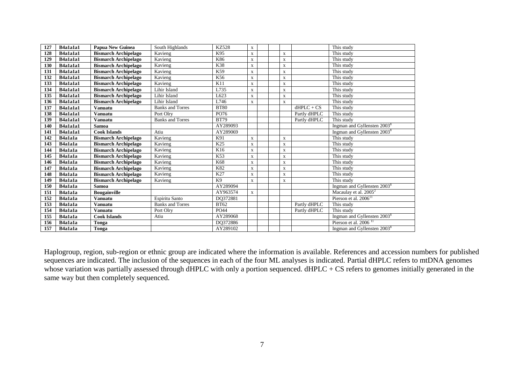| 127 | B4a1a1a1 | <b>Papua New Guinea</b>     | South Highlands         | <b>KZ528</b>    | $\mathbf X$ |             |              | This study                              |
|-----|----------|-----------------------------|-------------------------|-----------------|-------------|-------------|--------------|-----------------------------------------|
| 128 | B4a1a1a1 | <b>Bismarch Archipelago</b> | Kavieng                 | K95             | $\mathbf X$ | X           |              | This study                              |
| 129 | B4a1a1a1 | <b>Bismarch Archipelago</b> | Kavieng                 | K86             | $\mathbf X$ | X           |              | This study                              |
| 130 | B4a1a1a1 | <b>Bismarch Archipelago</b> | Kavieng                 | <b>K38</b>      | $\mathbf X$ | X           |              | This study                              |
| 131 | B4a1a1a1 | <b>Bismarch Archipelago</b> | Kavieng                 | K59             | $\mathbf X$ | X           |              | This study                              |
| 132 | B4a1a1a1 | <b>Bismarch Archipelago</b> | Kavieng                 | K56             | $\mathbf X$ | X           |              | This study                              |
| 133 | B4a1a1a1 | <b>Bismarch Archipelago</b> | Kavieng                 | K11             | $\mathbf X$ | $\mathbf X$ |              | This study                              |
| 134 | B4a1a1a1 | <b>Bismarch Archipelago</b> | Lihir Island            | L735            | $\mathbf X$ | $\mathbf X$ |              | This study                              |
| 135 | B4a1a1a1 | <b>Bismarch Archipelago</b> | Lihir Island            | L623            | $\mathbf X$ | X           |              | This study                              |
| 136 | B4a1a1a1 | <b>Bismarch Archipelago</b> | Lihir Island            | L746            | $\mathbf X$ | X           |              | This study                              |
| 137 | B4a1a1a1 | <b>Vanuatu</b>              | <b>Banks and Torres</b> | <b>BT80</b>     |             |             | $dHPLC + CS$ | This study                              |
| 138 | B4a1a1a1 | <b>Vanuatu</b>              | Port Olrv               | PO76            |             |             | Partly dHPLC | This study                              |
| 139 | B4a1a1a1 | <b>Vanuatu</b>              | <b>Banks and Torres</b> | <b>BT79</b>     |             |             | Partly dHPLC | This study                              |
| 140 | B4a1a1a1 | <b>Samoa</b>                |                         | AY289093        |             |             |              | Ingman and Gyllensten 2003 <sup>8</sup> |
| 141 | B4a1a1a1 | <b>Cook Islands</b>         | Atiu                    | AY289069        |             |             |              | Ingman and Gyllensten 2003 <sup>8</sup> |
| 142 | B4a1a1a  | <b>Bismarch Archipelago</b> | Kavieng                 | K91             | $\mathbf X$ | X           |              | This study                              |
| 143 | B4a1a1a  | <b>Bismarch Archipelago</b> | Kavieng                 | K <sub>25</sub> | $\mathbf X$ | X           |              | This study                              |
| 144 | B4a1a1a  | <b>Bismarch Archipelago</b> | Kavieng                 | K16             | $\mathbf X$ | X           |              | This study                              |
| 145 | B4a1a1a  | <b>Bismarch Archipelago</b> | Kavieng                 | K53             | $\mathbf X$ | X           |              | This study                              |
| 146 | B4a1a1a  | <b>Bismarch Archipelago</b> | Kavieng                 | K68             | $\mathbf X$ | X           |              | This study                              |
| 147 | B4a1a1a  | <b>Bismarch Archipelago</b> | Kavieng                 | K82             | $\mathbf X$ | X           |              | This study                              |
| 148 | B4a1a1a  | <b>Bismarch Archipelago</b> | Kavieng                 | K27             | $\mathbf X$ | X           |              | This study                              |
| 149 | B4a1a1a  | <b>Bismarch Archipelago</b> | Kavieng                 | K <sub>9</sub>  | $\mathbf X$ | X           |              | This study                              |
| 150 | B4a1a1a  | Samoa                       |                         | AY289094        |             |             |              | Ingman and Gyllensten 2003 <sup>8</sup> |
| 151 | B4a1a1a  | <b>Bougainville</b>         |                         | AY963574        | $\mathbf X$ |             |              | Macaulay et al. 2005 <sup>2</sup>       |
| 152 | B4a1a1a  | Vanuatu                     | Espiritu Santo          | DO372881        |             |             |              | Pierson et al. 2006 <sup>11</sup>       |
| 153 | B4a1a1a  | <b>Vanuatu</b>              | <b>Banks and Torres</b> | <b>BT62</b>     |             |             | Partly dHPLC | This study                              |
| 154 | B4a1a1a  | <b>Vanuatu</b>              | Port Olry               | PO44            |             |             | Partly dHPLC | This study                              |
| 155 | B4a1a1a  | <b>Cook Islands</b>         | Atiu                    | AY289068        |             |             |              | Ingman and Gyllensten 2003 <sup>8</sup> |
| 156 | B4a1a1a  | Tonga                       |                         | DO372886        |             |             |              | Pierson et al. 2006 <sup>11</sup>       |
| 157 | B4a1a1a  | Tonga                       |                         | AY289102        |             |             |              | Ingman and Gyllensten 2003 <sup>8</sup> |

Haplogroup, region, sub-region or ethnic group are indicated where the information is available. References and accession numbers for published sequences are indicated. The inclusion of the sequences in each of the four ML analyses is indicated. Partial dHPLC refers to mtDNA genomes whose variation was partially assessed through dHPLC with only a portion sequenced.  $dHPLC + CS$  refers to genomes initially generated in the same way but then completely sequenced.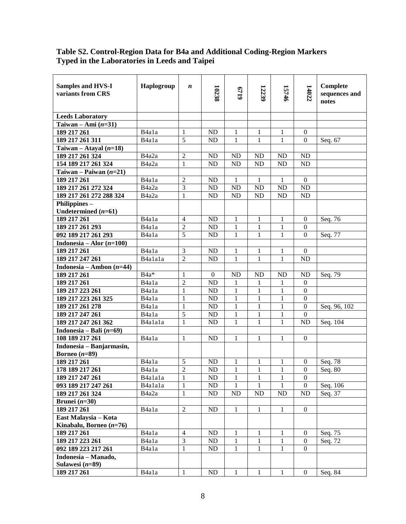## **Table S2. Control-Region Data for B4a and Additional Coding-Region Markers Typed in the Laboratories in Leeds and Taipei**

Ē

| <b>Samples and HVS-I</b><br>variants from CRS | Haplogroup                      | n              | 10238            | 6119           | 12239        | 15746        | 14022            | Complete<br>sequences and<br>notes |
|-----------------------------------------------|---------------------------------|----------------|------------------|----------------|--------------|--------------|------------------|------------------------------------|
| <b>Leeds Laboratory</b>                       |                                 |                |                  |                |              |              |                  |                                    |
| Taiwan - Ami $(n=31)$                         |                                 |                |                  |                |              |              |                  |                                    |
| 189 217 261                                   | B4a1a                           | 1              | ND               | 1              | 1            | 1            | $\overline{0}$   |                                    |
| 189 217 261 311                               | B <sub>4</sub> a <sub>1</sub> a | 5              | <b>ND</b>        | $\mathbf{1}$   | 1            | $\mathbf{1}$ | $\Omega$         | Seq. 67                            |
| Taiwan - Atayal $(n=18)$                      |                                 |                |                  |                |              |              |                  |                                    |
| 189 217 261 324                               | B4a2a                           | $\overline{2}$ | ND               | <b>ND</b>      | ND           | ND           | ND               |                                    |
| 154 189 217 261 324                           | B <sub>4</sub> a <sub>2</sub> a | 1              | ND               | N <sub>D</sub> | ND           | ND           | ND               |                                    |
| Taiwan – Paiwan $(n=21)$                      |                                 |                |                  |                |              |              |                  |                                    |
| 189 217 261                                   | B <sub>4</sub> a <sub>1</sub> a | $\overline{2}$ | ND               | 1              | $\mathbf{1}$ | $\mathbf{1}$ | $\overline{0}$   |                                    |
| 189 217 261 272 324                           | B <sub>4</sub> a <sub>2</sub> a | 3              | <b>ND</b>        | N <sub>D</sub> | ND           | ND           | ND               |                                    |
| 189 217 261 272 288 324                       | B4a2a                           | 1              | <b>ND</b>        | <b>ND</b>      | <b>ND</b>    | ND           | ND               |                                    |
| Philippines-                                  |                                 |                |                  |                |              |              |                  |                                    |
| Undetermined $(n=61)$                         |                                 |                |                  |                |              |              |                  |                                    |
| 189 217 261                                   | B4a1a                           | $\overline{4}$ | ND               | $\mathbf{1}$   | $\mathbf{1}$ | $\mathbf{1}$ | $\boldsymbol{0}$ | Seq. 76                            |
| 189 217 261 293                               | B4a1a                           | $\overline{c}$ | ND               | $\mathbf{1}$   | $\mathbf{1}$ | $\mathbf{1}$ | $\overline{0}$   |                                    |
| 092 189 217 261 293                           | B <sub>4</sub> a <sub>1</sub> a | 5              | ND               | $\mathbf{1}$   | $\mathbf{1}$ | $\mathbf{1}$ | $\overline{0}$   | Seq. 77                            |
| Indonesia – Alor $(n=100)$                    |                                 |                |                  |                |              |              |                  |                                    |
| 189 217 261                                   | B4a1a                           | 3              | ND               | $\mathbf{1}$   | $\mathbf{1}$ | $\mathbf{1}$ | $\overline{0}$   |                                    |
| 189 217 247 261                               | B4a1a1a                         | $\overline{2}$ | ND               | $\mathbf{1}$   | $\mathbf{1}$ | $\mathbf{1}$ | ND               |                                    |
| Indonesia – Ambon $(n=44)$                    |                                 |                |                  |                |              |              |                  |                                    |
| 189 217 261                                   | B4a*                            | 1              | $\boldsymbol{0}$ | ND             | ND           | ND           | ND               | Seq. 79                            |
| 189 217 261                                   | B <sub>4</sub> a <sub>1</sub> a | $\overline{c}$ | ND               | $\mathbf{1}$   | $\mathbf{1}$ | $\mathbf{1}$ | $\overline{0}$   |                                    |
| 189 217 223 261                               | B4a1a                           | $\mathbf{1}$   | ND               | $\mathbf{1}$   | $\mathbf{1}$ | $\mathbf{1}$ | $\overline{0}$   |                                    |
| 189 217 223 261 325                           | B <sub>4</sub> a <sub>1</sub> a | $\mathbf{1}$   | ND               | $\mathbf{1}$   | $\mathbf{1}$ | $\mathbf{1}$ | $\overline{0}$   |                                    |
| 189 217 261 278                               | B4a1a                           | $\mathbf{1}$   | ND               | $\mathbf{1}$   | $\mathbf{1}$ | $\mathbf{1}$ | $\overline{0}$   | Seq. 96, 102                       |
| 189 217 247 261                               | B4a1a                           | 5              | ND               | $\mathbf{1}$   | $\mathbf{1}$ | $\mathbf{1}$ | $\overline{0}$   |                                    |
| 189 217 247 261 362                           | B4a1a1a                         | $\mathbf{1}$   | ND               | $\mathbf{1}$   | $\mathbf{1}$ | $\mathbf{1}$ | ND               | Seq. 104                           |
| Indonesia – Bali $(n=69)$                     |                                 |                |                  |                |              |              |                  |                                    |
| 108 189 217 261                               | B4a1a                           | $\mathbf 1$    | N <sub>D</sub>   | $\mathbf{1}$   | $\mathbf{1}$ | 1            | $\overline{0}$   |                                    |
| Indonesia - Banjarmasin,                      |                                 |                |                  |                |              |              |                  |                                    |
| Borneo $(n=89)$                               |                                 |                |                  |                |              |              |                  |                                    |
| 189 217 261                                   | B <sub>4</sub> a <sub>1</sub> a | 5              | ND               | 1              | 1            | 1            | 0                | Seq. 78                            |
| 178 189 217 261                               | B4a1a                           | $\overline{2}$ | <b>ND</b>        | $\mathbf{1}$   | $\mathbf{1}$ | $\mathbf{1}$ | $\theta$         | Seq. 80                            |
| 189 217 247 261                               | B4a1a1a                         | $\mathbf{1}$   | ND               | $\mathbf{1}$   | 1            | 1            | $\boldsymbol{0}$ |                                    |
| 093 189 217 247 261                           | B4a1a1a                         | $\mathbf{1}$   | ND               | 1              | $\mathbf{1}$ | 1            | $\overline{0}$   | Seq. 106                           |
| 189 217 261 324                               | B <sub>4a2a</sub>               | $\mathbf 1$    | ND               | ND             | ND           | ND           | ND               | Seq. 37                            |
| Brunei $(n=30)$                               |                                 |                |                  |                |              |              |                  |                                    |
| 189 217 261                                   | B <sub>4a1a</sub>               | $\overline{2}$ | ND               | 1              | 1            | 1            | $\overline{0}$   |                                    |
| East Malaysia - Kota                          |                                 |                |                  |                |              |              |                  |                                    |
| Kinabalu, Borneo $(n=76)$                     |                                 |                |                  |                |              |              |                  |                                    |
| 189 217 261                                   | B <sub>4</sub> a <sub>1</sub> a | $\overline{4}$ | ND               | $\mathbf{1}$   | $\mathbf{1}$ | $\mathbf{1}$ | $\boldsymbol{0}$ | Seq. 75                            |
| 189 217 223 261                               | B <sub>4</sub> a <sub>1</sub> a | $\overline{3}$ | ND               | $\mathbf{1}$   | $\mathbf{1}$ | $\mathbf{1}$ | $\boldsymbol{0}$ | Seq. 72                            |
| 092 189 223 217 261                           | B <sub>4</sub> a <sub>1</sub> a | $\mathbf{1}$   | ND               | $\mathbf{1}$   | $\mathbf{1}$ | $\mathbf{1}$ | $\Omega$         |                                    |
| Indonesia - Manado,                           |                                 |                |                  |                |              |              |                  |                                    |
| Sulawesi $(n=89)$                             |                                 |                |                  |                |              |              |                  |                                    |
| 189 217 261                                   | B <sub>4a1a</sub>               | $\mathbf{1}$   | ND               | $\mathbf{1}$   | $\mathbf{1}$ | $\mathbf{1}$ | $\overline{0}$   | Seq. 84                            |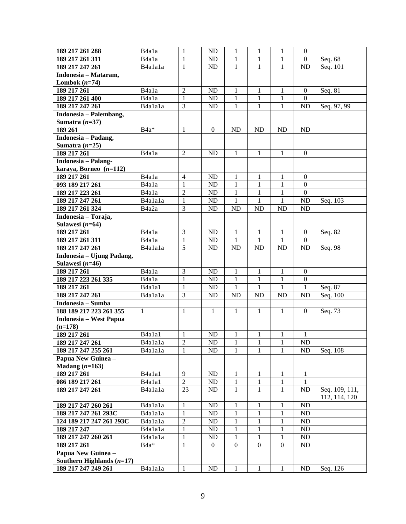| 189 217 261 288                    | B4a1a                                        | $\mathbf{1}$                 | ND             | $\mathbf{1}$                 | $\mathbf{1}$                 | 1                            | $\overline{0}$                 |                     |
|------------------------------------|----------------------------------------------|------------------------------|----------------|------------------------------|------------------------------|------------------------------|--------------------------------|---------------------|
| 189 217 261 311                    | B4a1a                                        | $\mathbf{1}$                 | ND             | $\mathbf{1}$                 | $\mathbf{1}$                 | 1                            | $\Omega$                       | Seq. 68             |
| 189 217 247 261                    | B4a1a1a                                      | $\mathbf{1}$                 | ND             | $\mathbf{1}$                 | $\mathbf{1}$                 | $\mathbf{1}$                 | <b>ND</b>                      | Seq. 101            |
| Indonesia - Mataram,               |                                              |                              |                |                              |                              |                              |                                |                     |
| Lombok $(n=74)$                    |                                              |                              |                |                              |                              |                              |                                |                     |
| 189 217 261                        | B <sub>4a1a</sub>                            | $\overline{2}$               | ND             | $\mathbf{1}$                 | $\mathbf{1}$                 | 1                            | $\overline{0}$                 | Seq. 81             |
| 189 217 261 400                    | B4a1a                                        | $\mathbf{1}$                 | ND             | $\mathbf{1}$                 | $\mathbf{1}$                 | $\mathbf{1}$                 | $\Omega$                       |                     |
| 189 217 247 261                    | B4a1a1a                                      | 3                            | N <sub>D</sub> | 1                            | $\mathbf{1}$                 | 1                            | ND                             | Seq. 97, 99         |
| Indonesia - Palembang,             |                                              |                              |                |                              |                              |                              |                                |                     |
| Sumatra $(n=37)$                   |                                              |                              |                |                              |                              |                              |                                |                     |
| 189 261                            | B4a*                                         | $\mathbf{1}$                 | $\Omega$       | ND                           | ND                           | ND                           | ND                             |                     |
| Indonesia - Padang,                |                                              |                              |                |                              |                              |                              |                                |                     |
| Sumatra $(n=25)$                   |                                              |                              |                |                              |                              |                              |                                |                     |
| 189 217 261                        | B4a1a                                        | $\overline{2}$               | <b>ND</b>      | $\mathbf{1}$                 | $\mathbf{1}$                 | $\mathbf{1}$                 | $\overline{0}$                 |                     |
| Indonesia - Palang-                |                                              |                              |                |                              |                              |                              |                                |                     |
| karaya, Borneo $(n=112)$           |                                              |                              |                |                              |                              |                              |                                |                     |
| 189 217 261                        | B4a1a                                        | $\overline{4}$               | <b>ND</b>      | $\mathbf{1}$                 | $\mathbf{1}$                 | $\mathbf{1}$                 | $\overline{0}$                 |                     |
| 093 189 217 261                    | B <sub>4a1a</sub>                            | $\mathbf{1}$                 | ND             | $\mathbf{1}$                 | $\mathbf{1}$                 | $\mathbf{1}$                 | $\overline{0}$                 |                     |
| 189 217 223 261                    | B <sub>4</sub> a <sub>1</sub> a              | $\overline{2}$               | ND             | $\mathbf{1}$                 | $\mathbf{1}$                 | 1                            | $\overline{0}$                 |                     |
| 189 217 247 261                    | B4a1a1a                                      | $\mathbf{1}$                 | ND             | $\mathbf{1}$                 | $\mathbf{1}$                 | $\mathbf{1}$                 | <b>ND</b>                      | Seq. 103            |
| 189 217 261 324                    | B4a2a                                        | 3                            | ND             | ND                           | ND                           | ND                           | ND                             |                     |
| Indonesia - Toraja,                |                                              |                              |                |                              |                              |                              |                                |                     |
| Sulawesi $(n=64)$                  |                                              |                              |                |                              |                              |                              |                                |                     |
| 189 217 261                        | B4a1a                                        | 3                            | ND             | $\mathbf{1}$                 | $\mathbf{1}$                 | $\mathbf{1}$                 | $\overline{0}$                 | Seq. 82             |
| 189 217 261 311                    | B4a1a                                        | $\mathbf{1}$                 | ND             | 1                            | 1                            | 1                            | $\Omega$                       |                     |
| 189 217 247 261                    | B4a1a1a                                      | 5                            | ND             | ND                           | ND                           | ND                           | <b>ND</b>                      | Seq. 98             |
| Indonesia – Ujung Padang,          |                                              |                              |                |                              |                              |                              |                                |                     |
| Sulawesi $(n=46)$                  |                                              |                              |                |                              |                              |                              |                                |                     |
| 189 217 261                        | B <sub>4a1a</sub>                            | 3                            | ND             | $\mathbf{1}$                 | $\mathbf{1}$                 | $\mathbf{1}$                 | $\overline{0}$                 |                     |
| 189 217 223 261 335<br>189 217 261 | B <sub>4a1a</sub><br>B4a1a1                  | $\mathbf{1}$<br>$\mathbf{1}$ | ND             | $\mathbf{1}$<br>$\mathbf{1}$ | $\mathbf{1}$<br>$\mathbf{1}$ | $\mathbf{1}$<br>$\mathbf{1}$ | $\overline{0}$<br>$\mathbf{1}$ |                     |
| 189 217 247 261                    | B4a1a1a                                      | 3                            | $\rm ND$<br>ND | ND                           | ND                           | ND                           | <b>ND</b>                      | Seq. 87<br>Seq. 100 |
| Indonesia - Sumba                  |                                              |                              |                |                              |                              |                              |                                |                     |
| 188 189 217 223 261 355            | $\mathbf{1}$                                 | $\mathbf{1}$                 | $\mathbf{1}$   | $\mathbf{1}$                 | $\mathbf{1}$                 | $\mathbf{1}$                 | $\overline{0}$                 | Seq. 73             |
| <b>Indonesia - West Papua</b>      |                                              |                              |                |                              |                              |                              |                                |                     |
| $(n=178)$                          |                                              |                              |                |                              |                              |                              |                                |                     |
| 189 217 261                        | B <sub>4</sub> a <sub>1</sub> a <sub>1</sub> | 1                            | ND             | 1                            | 1                            | 1                            | 1                              |                     |
| 189 217 247 261                    | B4alala                                      | $\overline{2}$               | ND             | $\mathbf{1}$                 | $\mathbf{1}$                 | $\mathbf{1}$                 | N <sub>D</sub>                 |                     |
| 189 217 247 255 261                | B4alala                                      | $\mathbf{1}$                 | ND             | $\mathbf 1$                  | $\mathbf{1}$                 | 1                            | ND                             | Seq. 108            |
| Papua New Guinea -                 |                                              |                              |                |                              |                              |                              |                                |                     |
| Madang $(n=163)$                   |                                              |                              |                |                              |                              |                              |                                |                     |
| 189 217 261                        | B <sub>4</sub> a <sub>1</sub> a <sub>1</sub> | 9                            | ND             | 1                            | 1                            | 1                            | 1                              |                     |
| 086 189 217 261                    | B4a1a1                                       | $\overline{2}$               | ND             | 1                            | 1                            | 1                            | 1                              |                     |
| 189 217 247 261                    | B <sub>4</sub> alala                         | 23                           | N <sub>D</sub> | 1                            | 1                            | 1                            | <b>ND</b>                      | Seq. 109, 111,      |
|                                    |                                              |                              |                |                              |                              |                              |                                | 112, 114, 120       |
| 189 217 247 260 261                | B4a1a1a                                      | 1                            | <b>ND</b>      | 1                            | 1                            | 1                            | <b>ND</b>                      |                     |
| 189 217 247 261 293C               | B4a1a1a                                      | 1                            | N <sub>D</sub> | 1                            | 1                            | 1                            | ND                             |                     |
| 124 189 217 247 261 293C           | B4a1a1a                                      | $\sqrt{2}$                   | N <sub>D</sub> | 1                            | 1                            | 1                            | ND                             |                     |
| 189 217 247                        | B4a1a1a                                      | 1                            | ND             | 1                            | $\mathbf{1}$                 | 1                            | ND                             |                     |
| 189 217 247 260 261                | B4a1a1a                                      | 1                            | ND             | 1                            | 1                            | 1                            | ND                             |                     |
| 189 217 261                        | B4a*                                         | 1                            | $\overline{0}$ | $\overline{0}$               | $\overline{0}$               | $\overline{0}$               | ND                             |                     |
| Papua New Guinea -                 |                                              |                              |                |                              |                              |                              |                                |                     |
| Southern Highlands $(n=17)$        |                                              |                              |                |                              |                              |                              |                                |                     |
| 189 217 247 249 261                | B4a1a1a                                      | 1                            | ND             | 1                            | $\mathbf{1}$                 | 1                            | ND                             | Seq. 126            |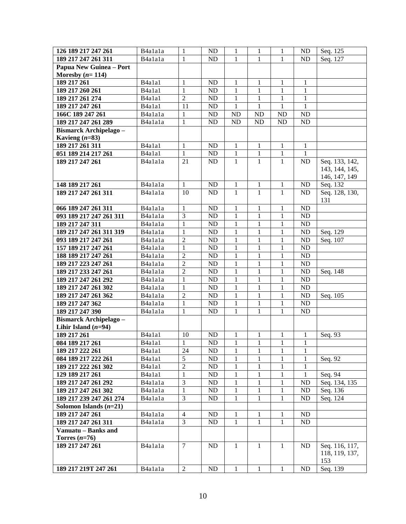| 126 189 217 247 261            | B4a1a1a                                        | 1              | ND              | 1              | 1              | 1              | ND           | Seq. 125       |
|--------------------------------|------------------------------------------------|----------------|-----------------|----------------|----------------|----------------|--------------|----------------|
| 189 217 247 261 311            | B <sub>4</sub> a <sub>1</sub> a <sub>1</sub> a | $\mathbf{1}$   | ND              | 1              | 1              | 1              | <b>ND</b>    | Seq. 127       |
| <b>Papua New Guinea - Port</b> |                                                |                |                 |                |                |                |              |                |
| Moresby $(n=114)$              |                                                |                |                 |                |                |                |              |                |
| 189 217 261                    | B4a1a1                                         | 1              | ND              | 1              | 1              | 1              | 1            |                |
| 189 217 260 261                | B4a1a1                                         | 1              | <b>ND</b>       | 1              | 1              | 1              | $\mathbf 1$  |                |
| 189 217 261 274                | B <sub>4a1a1</sub>                             | $\overline{2}$ | <b>ND</b>       | $\mathbf{1}$   | 1              | $\mathbf{1}$   | $\mathbf 1$  |                |
| 189 217 247 261                | B <sub>4</sub> a <sub>1</sub> a <sub>1</sub>   | 11             | ND              | $\mathbf{1}$   | 1              | $\mathbf{1}$   | $\mathbf 1$  |                |
| 166C 189 247 261               | B <sub>4</sub> a <sub>1</sub> a <sub>1</sub> a | 1              | <b>ND</b>       | <b>ND</b>      | <b>ND</b>      | N <sub>D</sub> | ND           |                |
| 189 217 247 261 289            | B <sub>4</sub> a <sub>1</sub> a <sub>1</sub> a | $\mathbf{1}$   | <b>ND</b>       | <b>ND</b>      | ND             | <b>ND</b>      | ND           |                |
| <b>Bismarck Archipelago -</b>  |                                                |                |                 |                |                |                |              |                |
| Kavieng $(n=83)$               |                                                |                |                 |                |                |                |              |                |
| 189 217 261 311                | B4a1a1                                         | 1              | <b>ND</b>       | 1              | 1              | $\mathbf{1}$   | 1            |                |
| 051 189 214 217 261            | B4a1a1                                         | $\mathbf{1}$   | ND              | $\mathbf{1}$   | $\mathbf{1}$   | $\mathbf{1}$   | $\mathbf{1}$ |                |
| 189 217 247 261                | B4a1a1a                                        | 21             | ND              | 1              | 1              | 1              | ND           | Seq. 133, 142, |
|                                |                                                |                |                 |                |                |                |              | 143, 144, 145, |
|                                |                                                |                |                 |                |                |                |              | 146, 147, 149  |
| 148 189 217 261                | B4a1a1a                                        | $\mathbf{1}$   | ND              | $\mathbf{1}$   | 1              | 1              | ND           | Seq. 132       |
| 189 217 247 261 311            | B <sub>4</sub> a <sub>1a</sub> <sub>1a</sub>   | 10             | ND              | $\overline{1}$ | $\overline{1}$ | $\mathbf{1}$   | ND           | Seq. 128, 130, |
|                                |                                                |                |                 |                |                |                |              | 131            |
| 066 189 247 261 311            | B <sub>4</sub> a <sub>1</sub> a <sub>1</sub> a | $\mathbf{1}$   | ND              | 1              | 1              | 1              | ND           |                |
| 093 189 217 247 261 311        | B4a1a1a                                        | 3              | ND              | $\mathbf{1}$   | 1              | $\mathbf{1}$   | ND           |                |
| 189 217 247 311                | B4a1a1a                                        | $\mathbf{1}$   | ND              | 1              | 1              | 1              | ND           |                |
| 189 217 247 261 311 319        | B <sub>4</sub> alala                           | $\mathbf{1}$   | ND              | 1              | 1              | 1              | ND           | Seq. $129$     |
| 093 189 217 247 261            | B <sub>4</sub> alala                           | $\overline{2}$ | ND              | 1              | 1              | $\mathbf{1}$   | ND           | Seq. 107       |
| 157 189 217 247 261            | B <sub>4</sub> alala                           | $\mathbf{1}$   | ND              | 1              | 1              | 1              | ND           |                |
| 188 189 217 247 261            | B <sub>4</sub> alala                           | $\overline{2}$ | ND              | 1              | 1              | 1              | ND           |                |
| 189 217 223 247 261            | B <sub>4</sub> alala                           | $\overline{2}$ | ND              | 1              | 1              | 1              | ND           |                |
| 189 217 233 247 261            | B <sub>4</sub> alala                           | $\overline{2}$ | ND              | 1              | 1              | $\mathbf{1}$   | ND           | Seq. 148       |
| 189 217 247 261 292            | B <sub>4</sub> alala                           | $\mathbf{1}$   | ND              | $\mathbf{1}$   | 1              | 1              | ND           |                |
| 189 217 247 261 302            | B4a1a1a                                        | $\mathbf{1}$   | ND              | 1              | 1              | 1              | ND           |                |
| 189 217 247 261 362            | B <sub>4</sub> alala                           | $\overline{2}$ | ND              | 1              | 1              | $\mathbf{1}$   | ND           | Seq. 105       |
| 189 217 247 362                | B4a1a1a                                        | $\mathbf{1}$   | ND              | 1              | 1              | 1              | ND           |                |
| 189 217 247 390                | B <sub>4</sub> alala                           | $\mathbf{1}$   | ND              | $\mathbf{1}$   | 1              | 1              | ND           |                |
| <b>Bismarck Archipelago -</b>  |                                                |                |                 |                |                |                |              |                |
| Lihir Island $(n=94)$          |                                                |                |                 |                |                |                |              |                |
| 189 217 261                    | B4a1a1                                         | 10             | ND              | $\mathbf{1}$   | $\mathbf{1}$   | 1              | $\mathbf{1}$ | Seq. 93        |
| 084 189 217 261                | B4a1a1                                         | $\mathbf{1}$   | $\overline{ND}$ | $\,1$          | $\mathbf{1}$   | $1\,$          | $\mathbf{1}$ |                |
| 189 217 222 261                | B <sub>4</sub> a <sub>1</sub> a <sub>1</sub>   | 24             | N <sub>D</sub>  | $\mathbf{1}$   | $\mathbf{1}$   | $\mathbf{1}$   | 1            |                |
| 084 189 217 222 261            | B4a1a1                                         | 5              | ND              | $\mathbf{1}$   | $\mathbf{1}$   | $\mathbf{1}$   | $\mathbf{1}$ | Seq. 92        |
| 189 217 222 261 302            | B4a1a1                                         | $\overline{2}$ | ND              | $\mathbf{1}$   | $\mathbf{1}$   | $\mathbf{1}$   | 1            |                |
| 129 189 217 261                | B4a1a1                                         | $\mathbf{1}$   | N <sub>D</sub>  | $\mathbf{1}$   | $\mathbf{1}$   | $\mathbf{1}$   | $\mathbf{1}$ | Seq. 94        |
| 189 217 247 261 292            | B4a1a1a                                        | 3              | ND              | $\mathbf{1}$   | $\mathbf{1}$   | $\mathbf{1}$   | ND           | Seq. 134, 135  |
| 189 217 247 261 302            | B4a1a1a                                        | $\mathbf{1}$   | ND              | $\mathbf{1}$   | $\mathbf{1}$   | $\mathbf{1}$   | ND           | Seq. 136       |
| 189 217 239 247 261 274        | B4a1a1a                                        | $\overline{3}$ | N <sub>D</sub>  | $\mathbf{1}$   | $\mathbf{1}$   | $\mathbf{1}$   | <b>ND</b>    | Seq. 124       |
| Solomon Islands $(n=21)$       |                                                |                |                 |                |                |                |              |                |
| 189 217 247 261                | B4a1a1a                                        | $\overline{4}$ | ND              | $\mathbf{1}$   | 1              | $\mathbf{1}$   | ND           |                |
| 189 217 247 261 311            | B4a1a1a                                        | $\overline{3}$ | ND              | $\mathbf{1}$   | $\mathbf{1}$   | $\mathbf{1}$   | ND           |                |
| Vanuatu – Banks and            |                                                |                |                 |                |                |                |              |                |
| Torres $(n=76)$                |                                                |                |                 |                |                |                |              |                |
| 189 217 247 261                | B4a1a1a                                        | $\tau$         | ND              | $\mathbf{1}$   | 1              | $\mathbf{1}$   | $\rm ND$     | Seq. 116, 117, |
|                                |                                                |                |                 |                |                |                |              | 118, 119, 137, |
|                                |                                                |                |                 |                |                |                |              | 153            |
| 189 217 219T 247 261           | B4a1a1a                                        | $\overline{2}$ | $\rm ND$        | $\mathbf{1}$   | $\mathbf{1}$   | $\mathbf{1}$   | ND           | Seq. 139       |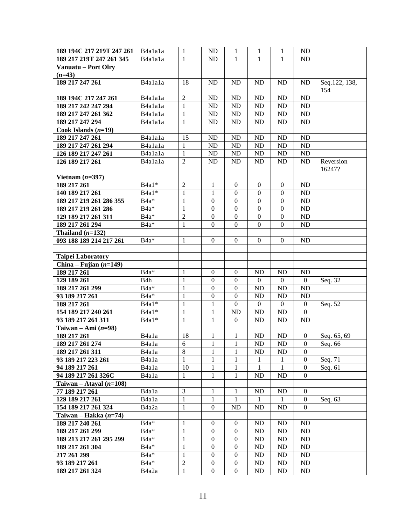| 189 194C 217 219T 247 261                  | B4alala                         | $\mathbf{1}$                 | ND                                   | $\mathbf{1}$                     | 1                | $\mathbf{1}$     | ND               |                     |
|--------------------------------------------|---------------------------------|------------------------------|--------------------------------------|----------------------------------|------------------|------------------|------------------|---------------------|
| 189 217 219T 247 261 345                   | B4a1a1a                         | 1                            | ND                                   | 1                                | 1                | 1                | ND               |                     |
| Vanuatu – Port Olry                        |                                 |                              |                                      |                                  |                  |                  |                  |                     |
| $(n=43)$                                   |                                 |                              |                                      |                                  |                  |                  |                  |                     |
| 189 217 247 261                            | B4a1a1a                         | 18                           | <b>ND</b>                            | ND                               | <b>ND</b>        | ND               | <b>ND</b>        | Seq.122, 138,       |
|                                            |                                 |                              |                                      |                                  |                  |                  |                  | 154                 |
| 189 194C 217 247 261                       | B4alala                         | $\overline{c}$               | <b>ND</b>                            | ND                               | N <sub>D</sub>   | ND               | ND               |                     |
| 189 217 242 247 294                        | B4a1a1a                         | 1                            | <b>ND</b>                            | ND                               | ND               | ND               | $\rm ND$         |                     |
| 189 217 247 261 362                        | B4a1a1a                         | 1                            | <b>ND</b>                            | ND                               | ND               | ND               | ND               |                     |
| 189 217 247 294                            | B4alala                         | 1                            | ND                                   | ND                               | <b>ND</b>        | ND               | ND               |                     |
| Cook Islands $(n=19)$                      |                                 |                              |                                      |                                  |                  |                  |                  |                     |
| 189 217 247 261                            | B <sub>4</sub> alala            | 15                           | <b>ND</b>                            | ND                               | <b>ND</b>        | <b>ND</b>        | <b>ND</b>        |                     |
| 189 217 247 261 294                        | B4a1a1a                         | 1                            | ND                                   | ND                               | ND               | ND               | $\rm ND$         |                     |
| 126 189 217 247 261                        | B4alala                         | 1                            | ND                                   | ND                               | ND               | ND               | $\rm ND$         |                     |
| 126 189 217 261                            | B4alala                         | $\overline{c}$               | <b>ND</b>                            | ND                               | N <sub>D</sub>   | ND               | ND               | Reversion<br>16247? |
| Vietnam $(n=397)$                          |                                 |                              |                                      |                                  |                  |                  |                  |                     |
| 189 217 261                                | B4a1*                           | $\overline{c}$               | $\mathbf{1}$                         | $\boldsymbol{0}$                 | $\mathbf{0}$     | $\Omega$         | ND               |                     |
| 140 189 217 261                            | B4a1*                           | $\mathbf{1}$                 | $\mathbf{1}$                         | $\boldsymbol{0}$                 | $\overline{0}$   | $\Omega$         | ND               |                     |
| 189 217 219 261 286 355                    | $B4a*$                          | $\mathbf{1}$                 | $\overline{0}$                       | $\overline{0}$                   | $\overline{0}$   | $\Omega$         | ND               |                     |
| 189 217 219 261 286                        | B4a*                            | $\mathbf{1}$                 | $\boldsymbol{0}$                     | $\boldsymbol{0}$                 | $\overline{0}$   | $\Omega$         | ND               |                     |
| 129 189 217 261 311                        | B4a*                            | $\overline{c}$               | $\boldsymbol{0}$                     | $\boldsymbol{0}$                 | $\boldsymbol{0}$ | $\mathbf{0}$     | ND               |                     |
| 189 217 261 294                            | B4a*                            | 1                            | $\Omega$                             | $\overline{0}$                   | $\overline{0}$   | $\Omega$         | ND               |                     |
| Thailand $(n=132)$                         |                                 |                              |                                      |                                  |                  |                  |                  |                     |
| 093 188 189 214 217 261                    | B4a*                            | 1                            | $\Omega$                             | $\Omega$                         | $\Omega$         | $\Omega$         | ND               |                     |
|                                            |                                 |                              |                                      |                                  |                  |                  |                  |                     |
| <b>Taipei Laboratory</b>                   |                                 |                              |                                      |                                  |                  |                  |                  |                     |
| China – Fujian $(n=149)$                   |                                 |                              |                                      |                                  |                  |                  |                  |                     |
| 189 217 261                                | $B4a*$                          | $\mathbf{1}$                 | $\overline{0}$                       | $\overline{0}$                   | ND               | ND               | ND               |                     |
| 129 189 261                                | B4h                             | $\mathbf{1}$                 | $\overline{0}$                       | $\Omega$                         | $\Omega$         | $\boldsymbol{0}$ | $\overline{0}$   | Seq. 32             |
| 189 217 261 299                            | B4a*                            | $\mathbf{1}$                 | $\boldsymbol{0}$                     | $\boldsymbol{0}$                 | ND               | ND               | ND               |                     |
| 93 189 217 261                             | B4a*                            | $\mathbf{1}$                 | $\boldsymbol{0}$                     | $\boldsymbol{0}$                 | ND               | ND               | ND               |                     |
| 189 217 261                                | B4a1*                           | $\mathbf{1}$                 | $\mathbf{1}$                         | $\overline{0}$                   | $\overline{0}$   | $\overline{0}$   | $\overline{0}$   | Seq. 52             |
| 154 189 217 240 261                        | B4a1*                           | $\mathbf{1}$                 | $\mathbf{1}$                         | ND                               | ND               | ND               | $\overline{0}$   |                     |
| 93 189 217 261 311                         | B4a1*                           | $\mathbf{1}$                 | $\mathbf{1}$                         | $\overline{0}$                   | ND               | ND               | ND               |                     |
| Taiwan - Ami $(n=98)$                      |                                 |                              |                                      |                                  |                  |                  |                  |                     |
| 189 217 261                                | B <sub>4</sub> a <sub>1</sub> a | 18                           | $\mathbf{1}$                         | $\mathbf{1}$                     | ND               | ND               | $\boldsymbol{0}$ | Seq. 65, 69         |
| 189 217 261 274                            | B4a1a                           | $\overline{6}$               | $\overline{1}$                       | $\overline{1}$                   | ND               | ND               | $\overline{0}$   | Seq. 66             |
| 189 217 261 311                            | B4a1a                           | 8                            | $\mathbf{1}$                         | 1                                | ND               | ND               | $\Omega$         |                     |
| 93 189 217 223 261                         | B <sub>4</sub> a <sub>1</sub> a | $\mathbf{1}$                 | $\mathbf{1}$                         | $\mathbf{1}$                     | 1                | 1                | $\overline{0}$   | Seq. $71$           |
| 94 189 217 261                             | B <sub>4</sub> a <sub>1</sub> a | 10                           | $\mathbf{1}$                         | 1                                | $\mathbf{1}$     | 1                | $\overline{0}$   | Seq. 61             |
| 94 189 217 261 326C                        | B <sub>4</sub> a <sub>1</sub> a | $\mathbf 1$                  | $\mathbf{1}$                         | $\mathbf{1}$                     | ND               | ND               | $\Omega$         |                     |
| Taiwan - Atayal $(n=108)$                  |                                 |                              |                                      |                                  |                  |                  |                  |                     |
| 77 189 217 261                             | B <sub>4</sub> a <sub>1</sub> a | 3                            | 1                                    | 1                                | ND               | ND               | $\overline{0}$   |                     |
| 129 189 217 261                            | B <sub>4</sub> a <sub>1</sub> a | $\mathbf{1}$                 | $\mathbf{1}$                         | 1                                | $\mathbf 1$      | 1                | $\boldsymbol{0}$ | Seq. 63             |
| 154 189 217 261 324                        | B4a2a                           | $\mathbf{1}$                 | $\mathbf{0}$                         | ND                               | ND               | ND               | $\Omega$         |                     |
| Taiwan – Hakka $(n=74)$                    |                                 |                              |                                      |                                  |                  |                  |                  |                     |
| 189 217 240 261                            | $B4a*$                          | 1                            | $\overline{0}$                       | 0                                | ND               | ND               | ND               |                     |
| 189 217 261 299<br>189 213 217 261 295 299 | $B4a*$<br>$B4a*$                | $\mathbf{1}$<br>$\mathbf{1}$ | $\boldsymbol{0}$<br>$\boldsymbol{0}$ | $\overline{0}$<br>$\overline{0}$ | ND<br>ND         | ND<br>ND         | ND<br>ND         |                     |
| 189 217 261 304                            | $B4a*$                          | $\mathbf{1}$                 | $\overline{0}$                       | $\overline{0}$                   | ND               | ND               | ND               |                     |
| 217 261 299                                | $B4a*$                          | 1                            | $\boldsymbol{0}$                     | $\overline{0}$                   | ND               | ND               | ND               |                     |
| 93 189 217 261                             | $B4a*$                          | $\overline{c}$               | $\boldsymbol{0}$                     | $\overline{0}$                   | ND               | ND               | ND               |                     |
| 189 217 261 324                            | B <sub>4</sub> a <sub>2</sub> a | 1                            | $\mathbf{0}$                         | $\overline{0}$                   | ND               | ND               | ND               |                     |
|                                            |                                 |                              |                                      |                                  |                  |                  |                  |                     |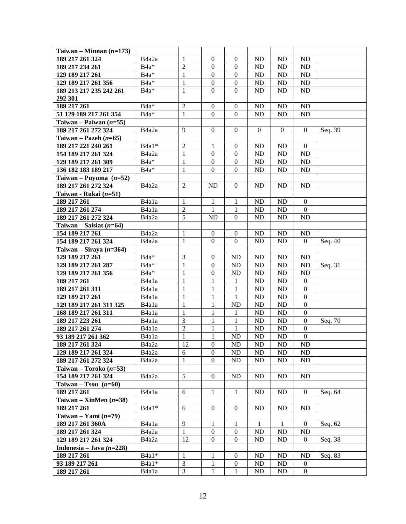| Taiwan – Minnan $(n=173)$    |                                 |                |                  |                  |                        |                        |                        |         |
|------------------------------|---------------------------------|----------------|------------------|------------------|------------------------|------------------------|------------------------|---------|
| 189 217 261 324              | B <sub>4</sub> a <sub>2</sub> a | $\mathbf{1}$   | $\Omega$         | $\boldsymbol{0}$ | ND                     | <b>ND</b>              | ND                     |         |
| 189 217 234 261              | $B4a*$                          | $\overline{2}$ | $\theta$         | $\overline{0}$   | $\overline{\text{ND}}$ | <b>ND</b>              | $\overline{\text{ND}}$ |         |
| 129 189 217 261              | $B4a*$                          | $\mathbf{1}$   | $\overline{0}$   | $\boldsymbol{0}$ | ND                     | ND                     | $\rm ND$               |         |
| 129 189 217 261 356          | $B4a*$                          | $\mathbf{1}$   | $\boldsymbol{0}$ | $\boldsymbol{0}$ | ND                     | ND                     | $\rm ND$               |         |
| 189 213 217 235 242 261      | B4a*                            | $\mathbf{1}$   | $\mathbf{0}$     | $\overline{0}$   | ND                     | ND                     | $\rm ND$               |         |
| 292 301                      |                                 |                |                  |                  |                        |                        |                        |         |
| 189 217 261                  | B4a*                            | $\overline{2}$ | $\boldsymbol{0}$ | $\boldsymbol{0}$ | ND                     | <b>ND</b>              | $\rm ND$               |         |
| 51 129 189 217 261 354       | B4a*                            | $\mathbf{1}$   | $\mathbf{0}$     | $\overline{0}$   | ND                     | ND                     | ND                     |         |
| Taiwan – Paiwan $(n=55)$     |                                 |                |                  |                  |                        |                        |                        |         |
| 189 217 261 272 324          | B4a2a                           | 9              | $\boldsymbol{0}$ | $\boldsymbol{0}$ | $\Omega$               | $\theta$               | $\boldsymbol{0}$       | Seq. 39 |
| Taiwan – Pazeh $(n=65)$      |                                 |                |                  |                  |                        |                        |                        |         |
| 189 217 221 240 261          | B4a1*                           | $\mathfrak{2}$ | 1                | $\overline{0}$   | <b>ND</b>              | <b>ND</b>              | $\boldsymbol{0}$       |         |
| 154 189 217 261 324          | B <sub>4a2a</sub>               | $\mathbf{1}$   | $\theta$         | $\boldsymbol{0}$ | ND                     | ND                     | ND                     |         |
| 129 189 217 261 309          | $B4a*$                          | $\mathbf{1}$   | $\mathbf{0}$     | $\boldsymbol{0}$ | ND                     | ND                     | ND                     |         |
| 136 182 183 189 217          | B4a*                            | $\mathbf{1}$   | $\Omega$         | $\overline{0}$   | ND                     | ND                     | ND                     |         |
| Taiwan – Puyuma $(n=52)$     |                                 |                |                  |                  |                        |                        |                        |         |
| 189 217 261 272 324          | B <sub>4a2a</sub>               | $\overline{2}$ | ND               | $\boldsymbol{0}$ | <b>ND</b>              | ND                     | ND                     |         |
| Taiwan - Rukai $(n=51)$      |                                 |                |                  |                  |                        |                        |                        |         |
| 189 217 261                  | B <sub>4a1a</sub>               | 1              | $\mathbf{1}$     | 1                | ND                     | ND                     | $\boldsymbol{0}$       |         |
| 189 217 261 274              | B <sub>4a1a</sub>               | $\overline{2}$ | 1                | $\mathbf{1}$     | ND                     | ND                     | $\overline{0}$         |         |
| 189 217 261 272 324          | B4a2a                           | $\overline{5}$ | <b>ND</b>        | $\overline{0}$   | ND                     | ND                     | ND                     |         |
| Taiwan – Saisiat $(n=64)$    |                                 |                |                  |                  |                        |                        |                        |         |
| 154 189 217 261              | B <sub>4a2a</sub>               | 1              | $\overline{0}$   | $\boldsymbol{0}$ | ND                     | ND                     | ND                     |         |
| 154 189 217 261 324          | B <sub>4a2a</sub>               | $\mathbf{1}$   | $\Omega$         | $\overline{0}$   | ND                     | ND                     | $\Omega$               | Seq. 40 |
| Taiwan - Siraya $(n=364)$    |                                 |                |                  |                  |                        |                        |                        |         |
| 129 189 217 261              | $B4a*$                          | 3              | $\overline{0}$   | <b>ND</b>        | ND                     | <b>ND</b>              | ND                     |         |
| 129 189 217 261 287          | $B4a*$                          | $\mathbf{1}$   | $\mathbf{0}$     | <b>ND</b>        | ND                     | <b>ND</b>              | ND                     | Seq. 31 |
| 129 189 217 261 356          | $B4a*$                          | $\mathbf{1}$   | $\boldsymbol{0}$ | ND               | ND                     | ND                     | ND                     |         |
| 189 217 261                  | B <sub>4</sub> a <sub>1</sub> a | $\mathbf{1}$   | $\mathbf{1}$     | $\mathbf{1}$     | ND                     | ND                     | $\boldsymbol{0}$       |         |
| 189 217 261 311              | B <sub>4a1a</sub>               | $\mathbf{1}$   | $\mathbf{1}$     | $\mathbf{1}$     | ND                     | ND                     | $\boldsymbol{0}$       |         |
| 129 189 217 261              | B <sub>4a1a</sub>               | $\mathbf{1}$   | $\mathbf{1}$     | $\mathbf{1}$     | ND                     | ND                     | $\boldsymbol{0}$       |         |
| 129 189 217 261 311 325      | B <sub>4</sub> a <sub>1</sub> a | $\mathbf{1}$   | $\mathbf{1}$     | ND               | ND                     | ND                     | $\boldsymbol{0}$       |         |
| 168 189 217 261 311          | B <sub>4a1a</sub>               | $\mathbf{1}$   | $\mathbf{1}$     | $\mathbf{1}$     | $\rm ND$               | ND                     | $\boldsymbol{0}$       |         |
| 189 217 223 261              | B <sub>4a1a</sub>               | 3              | $\mathbf{1}$     | $\mathbf{1}$     | ND                     | ND                     | $\boldsymbol{0}$       | Seq. 70 |
| 189 217 261 274              | B <sub>4a1a</sub>               | $\overline{2}$ | $\mathbf{1}$     | $\mathbf{1}$     | ND                     | ND                     | $\overline{0}$         |         |
| 93 189 217 261 362           | B <sub>4a1a</sub>               | $\mathbf{1}$   | $\mathbf{1}$     | ND               | ND                     | ND                     | $\boldsymbol{0}$       |         |
| 189 217 261 324              | B4a2a                           | 12             | $\overline{0}$   | $\overline{ND}$  | $\overline{\text{ND}}$ | $\overline{\text{ND}}$ | $\overline{ND}$        |         |
| 129 189 217 261 324          | B4a2a                           | 6              | $\Omega$         | ND               | ND                     | ND                     | ND                     |         |
| 189 217 261 272 324          | B4a2a                           | $\mathbf{1}$   | $\mathbf{0}$     | ND               | ND                     | ND                     | ND                     |         |
| Taiwan – Toroko $(n=53)$     |                                 |                |                  |                  |                        |                        |                        |         |
| 154 189 217 261 324          | B4a2a                           | 5              | $\mathbf{0}$     | ND               | ND                     | ND                     | ND                     |         |
| Taiwan – Tsou $(n=60)$       |                                 |                |                  |                  |                        |                        |                        |         |
| 189 217 261                  | B <sub>4</sub> a <sub>1</sub> a | 6              | $\mathbf{1}$     | 1                | ND                     | ND                     | $\Omega$               | Seq. 64 |
| Taiwan – XinMen $(n=38)$     |                                 |                |                  |                  |                        |                        |                        |         |
| 189 217 261                  | B4a1*                           | 6              | $\overline{0}$   | $\Omega$         | ND                     | ND                     | ND                     |         |
| Taiwan – Yami $(n=79)$       |                                 |                |                  |                  |                        |                        |                        |         |
| 189 217 261 360A             | B <sub>4</sub> a <sub>1</sub> a | 9              | $\mathbf{1}$     | $\mathbf{1}$     | $\mathbf{1}$           | $\mathbf{1}$           | $\Omega$               | Seq. 62 |
| 189 217 261 324              | B4a2a                           | $\mathbf{1}$   | $\Omega$         | $\Omega$         | ND                     | ND                     | ND                     |         |
| 129 189 217 261 324          | B4a2a                           | 12             | $\overline{0}$   | $\Omega$         | ND                     | ND                     | $\overline{0}$         | Seq. 38 |
| Indonesia – Java ( $n=228$ ) |                                 |                |                  |                  |                        |                        |                        |         |
| 189 217 261                  | $B4a1*$                         | 1              | $\mathbf{1}$     | $\Omega$         | ND                     | ND                     | ND                     | Seq. 83 |
| 93 189 217 261               | $B4a1*$                         | 3              | $\mathbf{1}$     | $\overline{0}$   | ND                     | ND                     | 0                      |         |
| 189 217 261                  | B <sub>4</sub> a <sub>1</sub> a | 3              | $\mathbf{1}$     | $\mathbf{1}$     | ND                     | ND                     | $\overline{0}$         |         |
|                              |                                 |                |                  |                  |                        |                        |                        |         |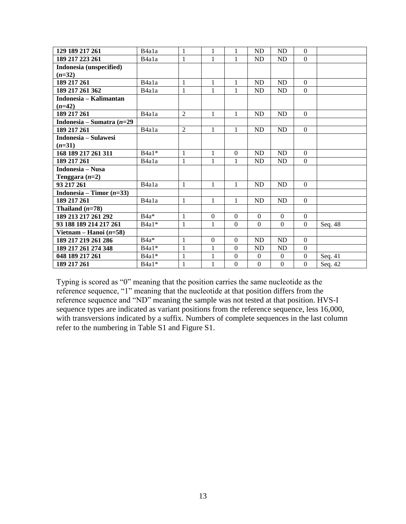| 129 189 217 261              | B <sub>4</sub> a <sub>1</sub> a | $\mathbf{1}$   | $\mathbf{1}$ | 1            | <b>ND</b> | <b>ND</b> | $\Omega$       |         |
|------------------------------|---------------------------------|----------------|--------------|--------------|-----------|-----------|----------------|---------|
| 189 217 223 261              | B <sub>4</sub> a <sub>1</sub> a | 1              | 1            | 1            | <b>ND</b> | ND        | $\Omega$       |         |
| Indonesia (unspecified)      |                                 |                |              |              |           |           |                |         |
| $(n=32)$                     |                                 |                |              |              |           |           |                |         |
| 189 217 261                  | B <sub>4</sub> a <sub>1</sub> a | $\mathbf{1}$   | 1            | 1            | <b>ND</b> | <b>ND</b> | $\Omega$       |         |
| 189 217 261 362              | B <sub>4</sub> a <sub>1</sub> a | $\mathbf{1}$   | $\mathbf{1}$ | $\mathbf{1}$ | ND        | ND        | $\Omega$       |         |
| Indonesia – Kalimantan       |                                 |                |              |              |           |           |                |         |
| $(n=42)$                     |                                 |                |              |              |           |           |                |         |
| 189 217 261                  | B <sub>4</sub> a <sub>1</sub> a | $\overline{2}$ | 1            | $\mathbf{1}$ | ND        | ND        | $\Omega$       |         |
| Indonesia – Sumatra $(n=29)$ |                                 |                |              |              |           |           |                |         |
| 189 217 261                  | B <sub>4</sub> a <sub>1</sub> a | $\overline{2}$ | $\mathbf{1}$ | 1            | <b>ND</b> | ND        | $\Omega$       |         |
| Indonesia – Sulawesi         |                                 |                |              |              |           |           |                |         |
| $(n=31)$                     |                                 |                |              |              |           |           |                |         |
| 168 189 217 261 311          | $B4a1*$                         | $\mathbf{1}$   | $\mathbf{1}$ | $\theta$     | <b>ND</b> | ND        | $\Omega$       |         |
| 189 217 261                  | B <sub>4a1a</sub>               | $\mathbf{1}$   | $\mathbf{1}$ | $\mathbf{1}$ | ND        | <b>ND</b> | $\Omega$       |         |
| Indonesia – Nusa             |                                 |                |              |              |           |           |                |         |
| Tenggara $(n=2)$             |                                 |                |              |              |           |           |                |         |
| 93 217 261                   | B <sub>4</sub> a <sub>1</sub> a | $\mathbf{1}$   | $\mathbf{1}$ | $\mathbf{1}$ | <b>ND</b> | <b>ND</b> | $\Omega$       |         |
| Indonesia – Timor $(n=33)$   |                                 |                |              |              |           |           |                |         |
| 189 217 261                  | B <sub>4</sub> a <sub>1</sub> a | $\mathbf{1}$   | 1            | $\mathbf{1}$ | <b>ND</b> | <b>ND</b> | $\Omega$       |         |
| Thailand $(n=78)$            |                                 |                |              |              |           |           |                |         |
| 189 213 217 261 292          | $B4a*$                          | 1              | $\mathbf{0}$ | $\Omega$     | $\Omega$  | $\Omega$  | $\overline{0}$ |         |
| 93 188 189 214 217 261       | $B4a1*$                         | $\mathbf{1}$   | $\mathbf{1}$ | $\Omega$     | $\Omega$  | $\Omega$  | $\Omega$       | Seq. 48 |
| Vietnam – Hanoi $(n=58)$     |                                 |                |              |              |           |           |                |         |
| 189 217 219 261 286          | $B4a*$                          | 1              | $\Omega$     | $\Omega$     | <b>ND</b> | <b>ND</b> | $\Omega$       |         |
| 189 217 261 274 348          | $B4a1*$                         | $\mathbf{1}$   | $\mathbf{1}$ | $\Omega$     | ND        | ND        | $\overline{0}$ |         |
| 048 189 217 261              | $B4a1*$                         | 1              | $\mathbf{1}$ | $\Omega$     | $\Omega$  | $\Omega$  | $\Omega$       | Seq. 41 |
| 189 217 261                  | $B4a1*$                         | 1              | 1            | $\Omega$     | $\Omega$  | $\Omega$  | $\Omega$       | Seq. 42 |

Typing is scored as "0" meaning that the position carries the same nucleotide as the reference sequence, "1" meaning that the nucleotide at that position differs from the reference sequence and "ND" meaning the sample was not tested at that position. HVS-I sequence types are indicated as variant positions from the reference sequence, less 16,000, with transversions indicated by a suffix. Numbers of complete sequences in the last column refer to the numbering in Table S1 and Figure S1.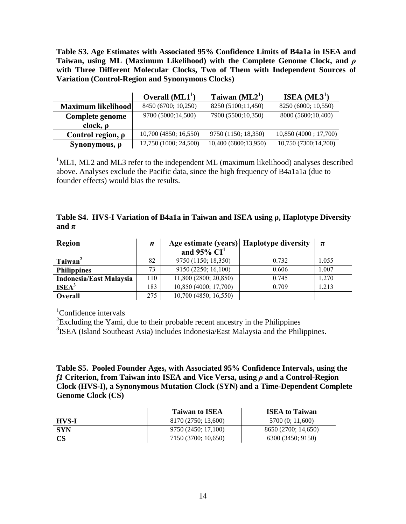**Table S3. Age Estimates with Associated 95% Confidence Limits of B4a1a in ISEA and Taiwan, using ML (Maximum Likelihood) with the Complete Genome Clock, and** *ρ* **with Three Different Molecular Clocks, Two of Them with Independent Sources of Variation (Control-Region and Synonymous Clocks)**

|                           | Overall $(ML1^1)$     | Taiwan $(ML2^1)$     | ISEA $(ML3^1)$        |
|---------------------------|-----------------------|----------------------|-----------------------|
| <b>Maximum likelihood</b> | 8450 (6700; 10,250)   | 8250 (5100;11,450)   | 8250 (6000; 10,550)   |
| Complete genome           | 9700 (5000;14,500)    | 7900 (5500;10,350)   | 8000 (5600;10,400)    |
| clock, $\rho$             |                       |                      |                       |
| Control region, $\rho$    | 10,700 (4850; 16,550) | 9750 (1150; 18,350)  | 10,850 (4000; 17,700) |
| Synonymous, $\rho$        | 12,750 (1000; 24,500) | 10,400 (6800;13,950) | 10,750 (7300;14,200)  |

<sup>1</sup>ML1, ML2 and ML3 refer to the independent ML (maximum likelihood) analyses described above. Analyses exclude the Pacific data, since the high frequency of B4a1a1a (due to founder effects) would bias the results.

|           |  | Table S4. HVS-I Variation of B4a1a in Taiwan and ISEA using $\rho$ , Haplotype Diversity |
|-----------|--|------------------------------------------------------------------------------------------|
| and $\pi$ |  |                                                                                          |

| <b>Region</b>                  | n   | Age estimate (years) Haplotype diversity<br>and 95% $\tilde{CI}^1$ |       | π     |
|--------------------------------|-----|--------------------------------------------------------------------|-------|-------|
| Taiwan <sup>2</sup>            | 82  | 9750 (1150; 18,350)                                                | 0.732 | 1.055 |
| <b>Philippines</b>             | 73  | 9150 (2250; 16,100)                                                | 0.606 | 1.007 |
| <b>Indonesia/East Malaysia</b> | 110 | 11,800 (2800; 20,850)                                              | 0.745 | 1.270 |
| ISEA <sup>3</sup>              | 183 | 10,850 (4000; 17,700)                                              | 0.709 | 1.213 |
| Overall                        | 275 | 10,700 (4850; 16,550)                                              |       |       |

 ${}^{1}$ Confidence intervals

 ${}^{2}$ Excluding the Yami, due to their probable recent ancestry in the Philippines

<sup>3</sup>ISEA (Island Southeast Asia) includes Indonesia/East Malaysia and the Philippines.

**Table S5. Pooled Founder Ages, with Associated 95% Confidence Intervals, using the**  *f1* **Criterion, from Taiwan into ISEA and Vice Versa, using** *ρ* **and a Control-Region Clock (HVS-I), a Synonymous Mutation Clock (SYN) and a Time-Dependent Complete Genome Clock (CS)**

|              | <b>Taiwan to ISEA</b> | <b>ISEA to Taiwan</b> |
|--------------|-----------------------|-----------------------|
| <b>HVS-I</b> | 8170 (2750; 13,600)   | 5700 (0; 11,600)      |
| <b>SYN</b>   | 9750 (2450; 17,100)   | 8650 (2700; 14,650)   |
| <b>CS</b>    | 7150 (3700; 10,650)   | 6300 (3450; 9150)     |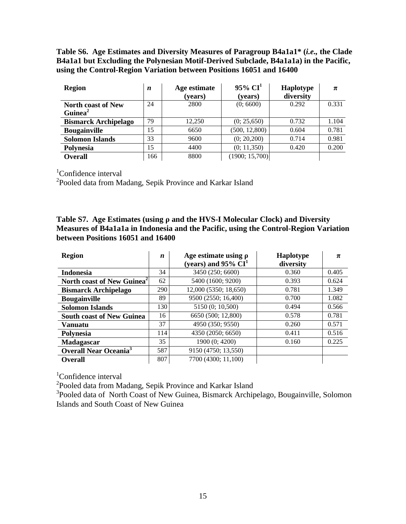**Table S6. Age Estimates and Diversity Measures of Paragroup B4a1a1\* (***i.e.,* **the Clade B4a1a1 but Excluding the Polynesian Motif-Derived Subclade, B4a1a1a) in the Pacific, using the Control-Region Variation between Positions 16051 and 16400**

| <b>Region</b>               | n   | Age estimate<br>(years) | $95\% \; Cl^1$<br>(years) | <b>Haplotype</b><br>diversity | π     |
|-----------------------------|-----|-------------------------|---------------------------|-------------------------------|-------|
| <b>North coast of New</b>   | 24  | 2800                    | (0; 6600)                 | 0.292                         | 0.331 |
| Guinea <sup>2</sup>         |     |                         |                           |                               |       |
| <b>Bismarck Archipelago</b> | 79  | 12,250                  | (0; 25,650)               | 0.732                         | 1.104 |
| <b>Bougainville</b>         | 15  | 6650                    | (500, 12,800)             | 0.604                         | 0.781 |
| <b>Solomon Islands</b>      | 33  | 9600                    | (0; 20,200)               | 0.714                         | 0.981 |
| Polynesia                   | 15  | 4400                    | (0; 11,350)               | 0.420                         | 0.200 |
| <b>Overall</b>              | 166 | 8800                    | (1900; 15,700)            |                               |       |

<sup>1</sup>Confidence interval

<sup>2</sup> Pooled data from Madang, Sepik Province and Karkar Island

**Table S7. Age Estimates (using ρ and the HVS-I Molecular Clock) and Diversity Measures of B4a1a1a in Indonesia and the Pacific, using the Control-Region Variation between Positions 16051 and 16400**

| <b>Region</b>                            | $\boldsymbol{n}$ | Age estimate using $\rho$<br>(years) and 95% $CI1$ | Haplotype<br>diversity | π     |
|------------------------------------------|------------------|----------------------------------------------------|------------------------|-------|
| <b>Indonesia</b>                         | 34               | 3450 (250; 6600)                                   | 0.360                  | 0.405 |
| North coast of New Guinea <sup>2</sup>   | 62               | 5400 (1600; 9200)                                  | 0.393                  | 0.624 |
| <b>Bismarck Archipelago</b>              | 290              | 12,000 (5350; 18,650)                              | 0.781                  | 1.349 |
| <b>Bougainville</b>                      | 89               | 9500 (2550; 16,400)                                | 0.700                  | 1.082 |
| <b>Solomon Islands</b>                   | 130              | 5150 (0; 10,500)                                   | 0.494                  | 0.566 |
| <b>South coast of New Guinea</b>         | 16               | 6650 (500; 12,800)                                 | 0.578                  | 0.781 |
| <b>Vanuatu</b>                           | 37               | 4950 (350; 9550)                                   | 0.260                  | 0.571 |
| Polynesia                                | 114              | 4350 (2050; 6650)                                  | 0.411                  | 0.516 |
| <b>Madagascar</b>                        | 35               | 1900 (0; 4200)                                     | 0.160                  | 0.225 |
| <b>Overall Near Oceania</b> <sup>3</sup> | 587              | 9150 (4750; 13,550)                                |                        |       |
| <b>Overall</b>                           | 807              | 7700 (4300; 11,100)                                |                        |       |

<sup>1</sup>Confidence interval

<sup>2</sup> Pooled data from Madang, Sepik Province and Karkar Island

<sup>3</sup>Pooled data of North Coast of New Guinea, Bismarck Archipelago, Bougainville, Solomon Islands and South Coast of New Guinea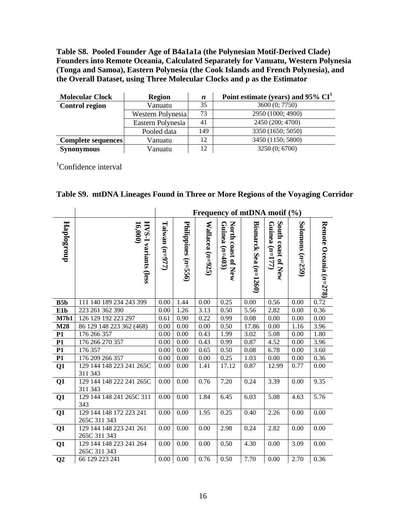**Table S8. Pooled Founder Age of B4a1a1a (the Polynesian Motif-Derived Clade) Founders into Remote Oceania, Calculated Separately for Vanuatu, Western Polynesia (Tonga and Samoa), Eastern Polynesia (the Cook Islands and French Polynesia), and the Overall Dataset, using Three Molecular Clocks and ρ as the Estimator**

| <b>Molecular Clock</b>           | <b>Region</b>     | n   | Point estimate (years) and $95\%$ CI <sup>1</sup> |
|----------------------------------|-------------------|-----|---------------------------------------------------|
| <b>Control region</b><br>Vanuatu |                   | 35  | 3600 (0; 7750)                                    |
|                                  | Western Polynesia |     | 2950 (1000; 4900)                                 |
|                                  | Eastern Polynesia |     | 2450 (200; 4700)                                  |
|                                  | Pooled data       | 149 | 3350 (1650; 5050)                                 |
| Complete sequences               | Vanuatu           | 12  | 3450 (1150; 5800)                                 |
| <b>Synonymous</b>                | Vanuatu           | 12  | 3250(0; 6700)                                     |

<sup>1</sup>Confidence interval

| Table S9. mtDNA Lineages Found in Three or More Regions of the Voyaging Corridor |  |  |  |  |  |
|----------------------------------------------------------------------------------|--|--|--|--|--|
|                                                                                  |  |  |  |  |  |

|            |                                         | Frequency of mtDNA motif $(\% )$ |                     |                    |                                        |                         |                                          |                    |                          |
|------------|-----------------------------------------|----------------------------------|---------------------|--------------------|----------------------------------------|-------------------------|------------------------------------------|--------------------|--------------------------|
| Haplogroup | HVS-I variants (less<br>16,000)         | Taiwan (n=977)                   | Philippines (n=556) | Wallacea $(n=925)$ | North coast of New<br>Guinea $(n=403)$ | Bismarck Sea $(n=1260)$ | South coast of New<br>Guinea ( $n=177$ ) | Solomons $(n=259)$ | Remote Oceania $(n=278)$ |
| B5b        | 111 140 189 234 243 399                 | 0.00                             | 1.44                | 0.00               | 0.25                                   | 0.00                    | 0.56                                     | 0.00               | 0.72                     |
| E1b        | 223 261 362 390                         | 0.00                             | 1.26                | 3.13               | 0.50                                   | 5.56                    | 2.82                                     | 0.00               | 0.36                     |
| M7b1       | 126 129 192 223 297                     | 0.61                             | 0.90                | 0.22               | 0.99                                   | 0.08                    | 0.00                                     | 0.00               | 0.00                     |
| M28        | 86 129 148 223 362 (468)                | 0.00                             | 0.00                | 0.00               | 0.50                                   | 17.86                   | 0.00                                     | 1.16               | 3.96                     |
| <b>P1</b>  | 176 266 357                             | 0.00                             | 0.00                | 0.43               | 1.99                                   | 3.02                    | 5.08                                     | 0.00               | 1.80                     |
| <b>P1</b>  | 176 266 270 357                         | 0.00                             | 0.00                | 0.43               | 0.99                                   | 0.87                    | 4.52                                     | 0.00               | 3.96                     |
| P1         | 176 357                                 | 0.00                             | 0.00                | 0.65               | 0.50                                   | 0.08                    | 6.78                                     | 0.00               | 3.60                     |
| P1         | 176 209 266 357                         | 0.00                             | 0.00                | 0.00               | 0.25                                   | 1.03                    | 0.00                                     | 0.00               | 0.36                     |
| Q1         | 129 144 148 223 241 265C<br>311 343     | 0.00                             | 0.00                | 1.41               | 17.12                                  | 0.87                    | 12.99                                    | 0.77               | 0.00                     |
| Q1         | 129 144 148 222 241 265C<br>311 343     | 0.00                             | 0.00                | 0.76               | $\overline{7.20}$                      | 0.24                    | 3.39                                     | 0.00               | 9.35                     |
| Q1         | 129 144 148 241 265C 311<br>343         | 0.00                             | 0.00                | 1.84               | 6.45                                   | 6.03                    | 5.08                                     | 4.63               | 5.76                     |
| Q1         | 129 144 148 172 223 241<br>265C 311 343 | 0.00                             | 0.00                | 1.95               | 0.25                                   | 0.40                    | 2.26                                     | 0.00               | 0.00                     |
| Q1         | 129 144 148 223 241 261<br>265C 311 343 | 0.00                             | 0.00                | 0.00               | 2.98                                   | 0.24                    | 2.82                                     | 0.00               | 0.00                     |
| Q1         | 129 144 148 223 241 264<br>265C 311 343 | 0.00                             | 0.00                | 0.00               | 0.50                                   | 4.30                    | 0.00                                     | 3.09               | 0.00                     |
| Q2         | 66 129 223 241                          | 0.00                             | 0.00                | 0.76               | 0.50                                   | 7.70                    | 0.00                                     | 2.70               | 0.36                     |